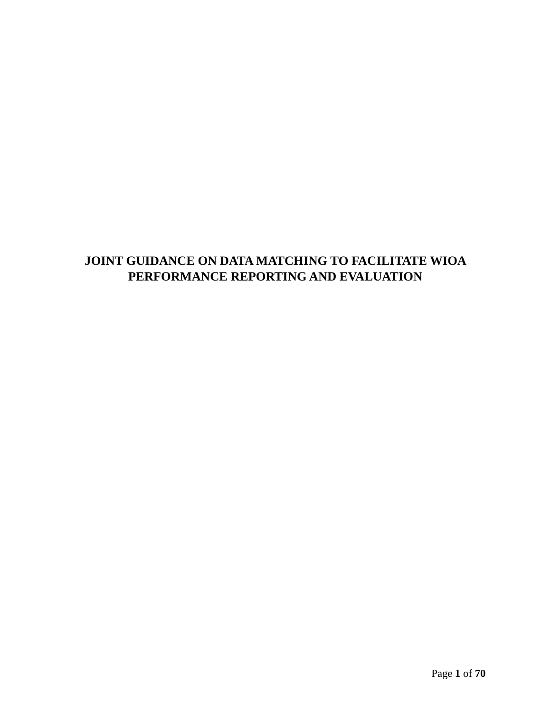# **JOINT GUIDANCE ON DATA MATCHING TO FACILITATE WIOA PERFORMANCE REPORTING AND EVALUATION**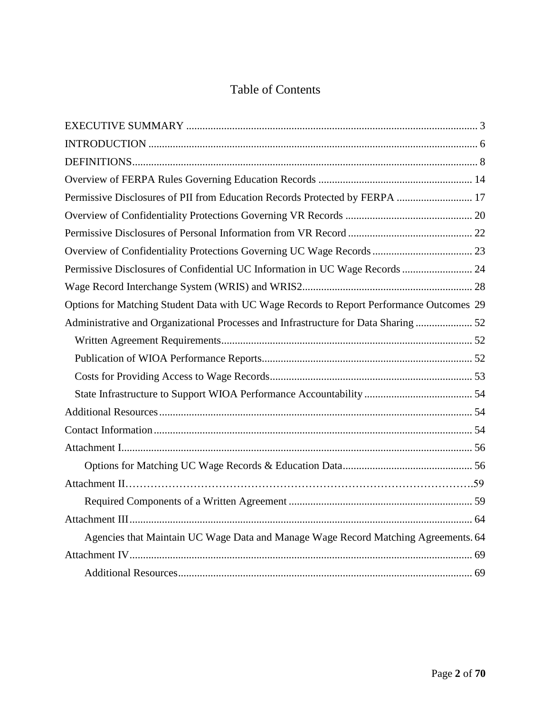# Table of Contents

| Permissive Disclosures of PII from Education Records Protected by FERPA  17              |
|------------------------------------------------------------------------------------------|
|                                                                                          |
|                                                                                          |
|                                                                                          |
| Permissive Disclosures of Confidential UC Information in UC Wage Records  24             |
|                                                                                          |
| Options for Matching Student Data with UC Wage Records to Report Performance Outcomes 29 |
| Administrative and Organizational Processes and Infrastructure for Data Sharing  52      |
|                                                                                          |
|                                                                                          |
|                                                                                          |
|                                                                                          |
|                                                                                          |
|                                                                                          |
|                                                                                          |
|                                                                                          |
|                                                                                          |
|                                                                                          |
|                                                                                          |
| Agencies that Maintain UC Wage Data and Manage Wage Record Matching Agreements. 64       |
|                                                                                          |
|                                                                                          |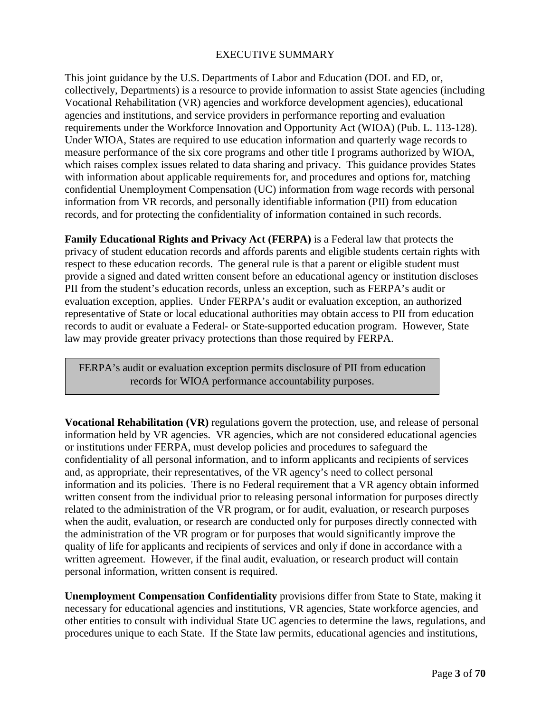## EXECUTIVE SUMMARY

<span id="page-2-0"></span>This joint guidance by the U.S. Departments of Labor and Education (DOL and ED, or, collectively, Departments) is a resource to provide information to assist State agencies (including Vocational Rehabilitation (VR) agencies and workforce development agencies), educational agencies and institutions, and service providers in performance reporting and evaluation requirements under the Workforce Innovation and Opportunity Act (WIOA) (Pub. L. 113-128). Under WIOA, States are required to use education information and quarterly wage records to measure performance of the six core programs and other title I programs authorized by WIOA, which raises complex issues related to data sharing and privacy. This guidance provides States with information about applicable requirements for, and procedures and options for, matching confidential Unemployment Compensation (UC) information from wage records with personal information from VR records, and personally identifiable information (PII) from education records, and for protecting the confidentiality of information contained in such records.

**Family Educational Rights and Privacy Act (FERPA)** is a Federal law that protects the privacy of student education records and affords parents and eligible students certain rights with respect to these education records.The general rule is that a parent or eligible student must provide a signed and dated written consent before an educational agency or institution discloses PII from the student's education records, unless an exception, such as FERPA's audit or evaluation exception, applies. Under FERPA's audit or evaluation exception, an authorized representative of State or local educational authorities may obtain access to PII from education records to audit or evaluate a Federal- or State-supported education program. However, State law may provide greater privacy protections than those required by FERPA.

FERPA's audit or evaluation exception permits disclosure of PII from education records for WIOA performance accountability purposes.

**Vocational Rehabilitation (VR)** regulations govern the protection, use, and release of personal information held by VR agencies. VR agencies, which are not considered educational agencies or institutions under FERPA, must develop policies and procedures to safeguard the confidentiality of all personal information, and to inform applicants and recipients of services and, as appropriate, their representatives, of the VR agency's need to collect personal information and its policies. There is no Federal requirement that a VR agency obtain informed written consent from the individual prior to releasing personal information for purposes directly related to the administration of the VR program, or for audit, evaluation, or research purposes when the audit, evaluation, or research are conducted only for purposes directly connected with the administration of the VR program or for purposes that would significantly improve the quality of life for applicants and recipients of services and only if done in accordance with a written agreement. However, if the final audit, evaluation, or research product will contain personal information, written consent is required.

**Unemployment Compensation Confidentiality** provisions differ from State to State, making it necessary for educational agencies and institutions, VR agencies, State workforce agencies, and other entities to consult with individual State UC agencies to determine the laws, regulations, and procedures unique to each State. If the State law permits, educational agencies and institutions,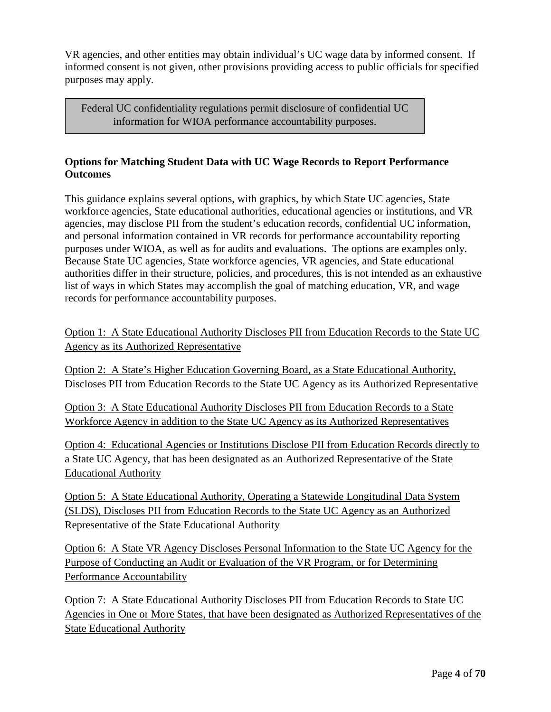VR agencies, and other entities may obtain individual's UC wage data by informed consent. If informed consent is not given, other provisions providing access to public officials for specified purposes may apply.

Federal UC confidentiality regulations permit disclosure of confidential UC information for WIOA performance accountability purposes.

## **Options for Matching Student Data with UC Wage Records to Report Performance Outcomes**

This guidance explains several options, with graphics, by which State UC agencies, State workforce agencies, State educational authorities, educational agencies or institutions, and VR agencies, may disclose PII from the student's education records, confidential UC information, and personal information contained in VR records for performance accountability reporting purposes under WIOA, as well as for audits and evaluations. The options are examples only. Because State UC agencies, State workforce agencies, VR agencies, and State educational authorities differ in their structure, policies, and procedures, this is not intended as an exhaustive list of ways in which States may accomplish the goal of matching education, VR, and wage records for performance accountability purposes.

Option 1: A State Educational Authority Discloses PII from Education Records to the State UC Agency as its Authorized Representative

Option 2: A State's Higher Education Governing Board, as a State Educational Authority, Discloses PII from Education Records to the State UC Agency as its Authorized Representative

Option 3: A State Educational Authority Discloses PII from Education Records to a State Workforce Agency in addition to the State UC Agency as its Authorized Representatives

Option 4: Educational Agencies or Institutions Disclose PII from Education Records directly to a State UC Agency, that has been designated as an Authorized Representative of the State Educational Authority

Option 5: A State Educational Authority, Operating a Statewide Longitudinal Data System (SLDS), Discloses PII from Education Records to the State UC Agency as an Authorized Representative of the State Educational Authority

Option 6: A State VR Agency Discloses Personal Information to the State UC Agency for the Purpose of Conducting an Audit or Evaluation of the VR Program, or for Determining Performance Accountability

Option 7: A State Educational Authority Discloses PII from Education Records to State UC Agencies in One or More States, that have been designated as Authorized Representatives of the State Educational Authority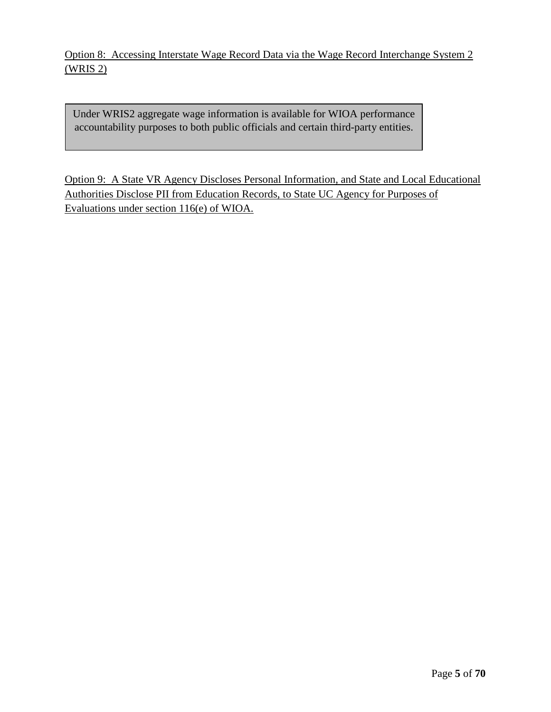Option 8: Accessing Interstate Wage Record Data via the Wage Record Interchange System 2 (WRIS 2)

Under WRIS2 aggregate wage information is available for WIOA performance accountability purposes to both public officials and certain third-party entities.

Option 9: A State VR Agency Discloses Personal Information, and State and Local Educational Authorities Disclose PII from Education Records, to State UC Agency for Purposes of Evaluations under section 116(e) of WIOA.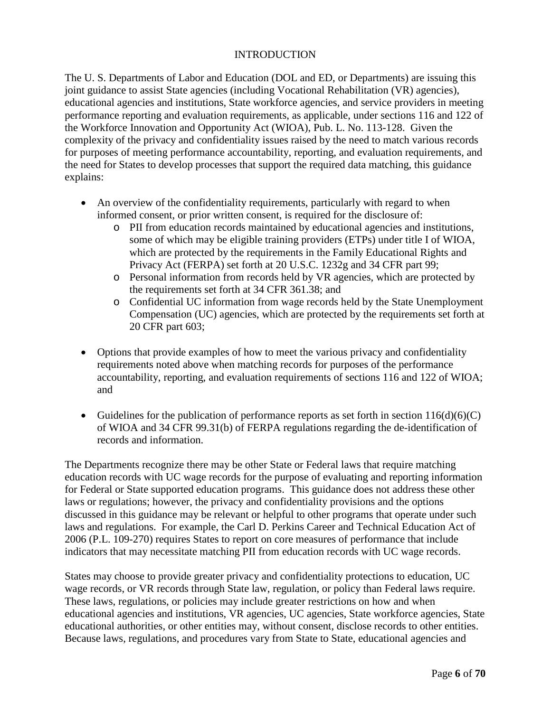## **INTRODUCTION**

<span id="page-5-0"></span>The U. S. Departments of Labor and Education (DOL and ED, or Departments) are issuing this joint guidance to assist State agencies (including Vocational Rehabilitation (VR) agencies), educational agencies and institutions, State workforce agencies, and service providers in meeting performance reporting and evaluation requirements, as applicable, under sections 116 and 122 of the Workforce Innovation and Opportunity Act (WIOA), Pub. L. No. 113-128. Given the complexity of the privacy and confidentiality issues raised by the need to match various records for purposes of meeting performance accountability, reporting, and evaluation requirements, and the need for States to develop processes that support the required data matching, this guidance explains:

- An overview of the confidentiality requirements, particularly with regard to when informed consent, or prior written consent, is required for the disclosure of:
	- o PII from education records maintained by educational agencies and institutions, some of which may be eligible training providers (ETPs) under title I of WIOA, which are protected by the requirements in the Family Educational Rights and Privacy Act (FERPA) set forth at 20 U.S.C. 1232g and 34 CFR part 99;
	- o Personal information from records held by VR agencies, which are protected by the requirements set forth at 34 CFR 361.38; and
	- o Confidential UC information from wage records held by the State Unemployment Compensation (UC) agencies, which are protected by the requirements set forth at 20 CFR part 603;
- Options that provide examples of how to meet the various privacy and confidentiality requirements noted above when matching records for purposes of the performance accountability, reporting, and evaluation requirements of sections 116 and 122 of WIOA; and
- Guidelines for the publication of performance reports as set forth in section  $116(d)(6)(C)$ of WIOA and 34 CFR 99.31(b) of FERPA regulations regarding the de-identification of records and information.

The Departments recognize there may be other State or Federal laws that require matching education records with UC wage records for the purpose of evaluating and reporting information for Federal or State supported education programs. This guidance does not address these other laws or regulations; however, the privacy and confidentiality provisions and the options discussed in this guidance may be relevant or helpful to other programs that operate under such laws and regulations. For example, the Carl D. Perkins Career and Technical Education Act of 2006 (P.L. 109-270) requires States to report on core measures of performance that include indicators that may necessitate matching PII from education records with UC wage records.

States may choose to provide greater privacy and confidentiality protections to education, UC wage records, or VR records through State law, regulation, or policy than Federal laws require. These laws, regulations, or policies may include greater restrictions on how and when educational agencies and institutions, VR agencies, UC agencies, State workforce agencies, State educational authorities, or other entities may, without consent, disclose records to other entities. Because laws, regulations, and procedures vary from State to State, educational agencies and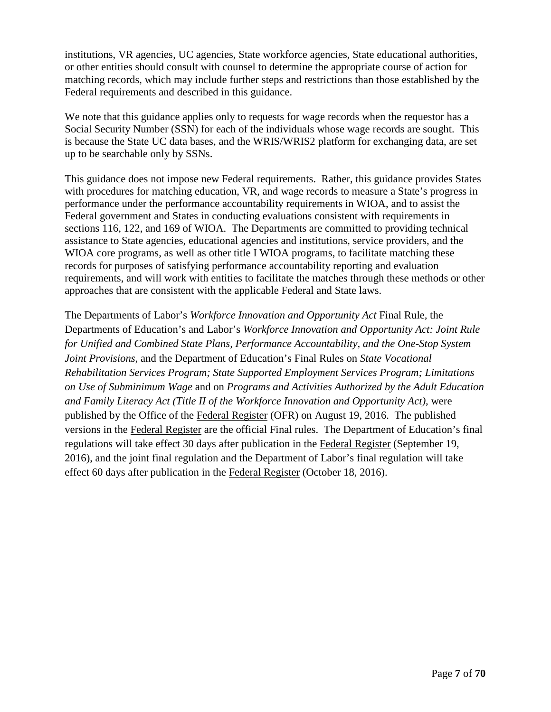institutions, VR agencies, UC agencies, State workforce agencies, State educational authorities, or other entities should consult with counsel to determine the appropriate course of action for matching records, which may include further steps and restrictions than those established by the Federal requirements and described in this guidance.

We note that this guidance applies only to requests for wage records when the requestor has a Social Security Number (SSN) for each of the individuals whose wage records are sought. This is because the State UC data bases, and the WRIS/WRIS2 platform for exchanging data, are set up to be searchable only by SSNs.

This guidance does not impose new Federal requirements. Rather, this guidance provides States with procedures for matching education, VR, and wage records to measure a State's progress in performance under the performance accountability requirements in WIOA, and to assist the Federal government and States in conducting evaluations consistent with requirements in sections 116, 122, and 169 of WIOA. The Departments are committed to providing technical assistance to State agencies, educational agencies and institutions, service providers, and the WIOA core programs, as well as other title I WIOA programs, to facilitate matching these records for purposes of satisfying performance accountability reporting and evaluation requirements, and will work with entities to facilitate the matches through these methods or other approaches that are consistent with the applicable Federal and State laws.

The Departments of Labor's *Workforce Innovation and Opportunity Act* Final Rule*,* the Departments of Education's and Labor's *Workforce Innovation and Opportunity Act: Joint Rule for Unified and Combined State Plans, Performance Accountability, and the One-Stop System Joint Provisions*, and the Department of Education's Final Rules on *State Vocational Rehabilitation Services Program; State Supported Employment Services Program; Limitations on Use of Subminimum Wage* and on *Programs and Activities Authorized by the Adult Education and Family Literacy Act (Title II of the Workforce Innovation and Opportunity Act)*, were published by the Office of the Federal Register (OFR) on August 19, 2016. The published versions in the Federal Register are the official Final rules. The Department of Education's final regulations will take effect 30 days after publication in the Federal Register (September 19, 2016), and the joint final regulation and the Department of Labor's final regulation will take effect 60 days after publication in the Federal Register (October 18, 2016).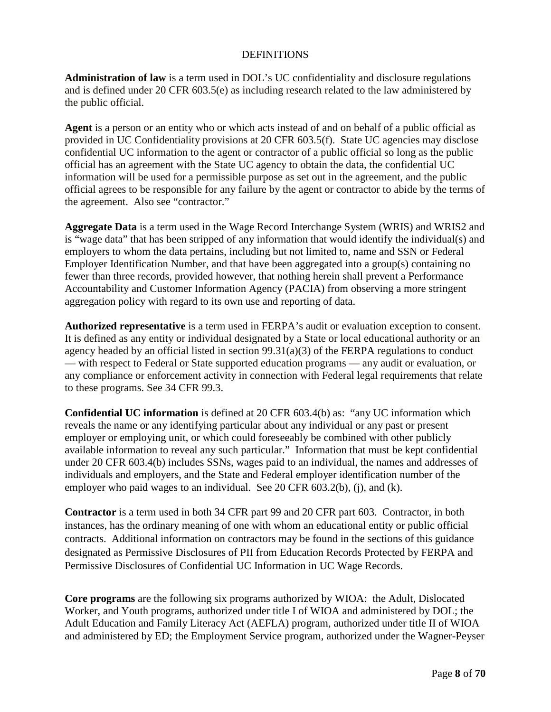### DEFINITIONS

<span id="page-7-0"></span>**Administration of law** is a term used in DOL's UC confidentiality and disclosure regulations and is defined under 20 CFR 603.5(e) as including research related to the law administered by the public official.

**Agent** is a person or an entity who or which acts instead of and on behalf of a public official as provided in UC Confidentiality provisions at 20 CFR 603.5(f). State UC agencies may disclose confidential UC information to the agent or contractor of a public official so long as the public official has an agreement with the State UC agency to obtain the data, the confidential UC information will be used for a permissible purpose as set out in the agreement, and the public official agrees to be responsible for any failure by the agent or contractor to abide by the terms of the agreement. Also see "contractor."

**Aggregate Data** is a term used in the Wage Record Interchange System (WRIS) and WRIS2 and is "wage data" that has been stripped of any information that would identify the individual(s) and employers to whom the data pertains, including but not limited to, name and SSN or Federal Employer Identification Number, and that have been aggregated into a group(s) containing no fewer than three records, provided however, that nothing herein shall prevent a Performance Accountability and Customer Information Agency (PACIA) from observing a more stringent aggregation policy with regard to its own use and reporting of data.

**Authorized representative** is a term used in FERPA's audit or evaluation exception to consent. It is defined as any entity or individual designated by a State or local educational authority or an agency headed by an official listed in section  $99.31(a)(3)$  of the FERPA regulations to conduct — with respect to Federal or State supported education programs — any audit or evaluation, or any compliance or enforcement activity in connection with Federal legal requirements that relate to these programs. See 34 CFR 99.3.

**Confidential UC information** is defined at 20 CFR 603.4(b) as: "any UC information which reveals the name or any identifying particular about any individual or any past or present employer or employing unit, or which could foreseeably be combined with other publicly available information to reveal any such particular." Information that must be kept confidential under 20 CFR 603.4(b) includes SSNs, wages paid to an individual, the names and addresses of individuals and employers, and the State and Federal employer identification number of the employer who paid wages to an individual. See 20 CFR 603.2(b), (j), and (k).

**Contractor** is a term used in both 34 CFR part 99 and 20 CFR part 603. Contractor, in both instances, has the ordinary meaning of one with whom an educational entity or public official contracts. Additional information on contractors may be found in the sections of this guidance designated as Permissive Disclosures of PII from Education Records Protected by FERPA and Permissive Disclosures of Confidential UC Information in UC Wage Records.

**Core programs** are the following six programs authorized by WIOA: the Adult, Dislocated Worker, and Youth programs, authorized under title I of WIOA and administered by DOL; the Adult Education and Family Literacy Act (AEFLA) program, authorized under title II of WIOA and administered by ED; the Employment Service program, authorized under the Wagner-Peyser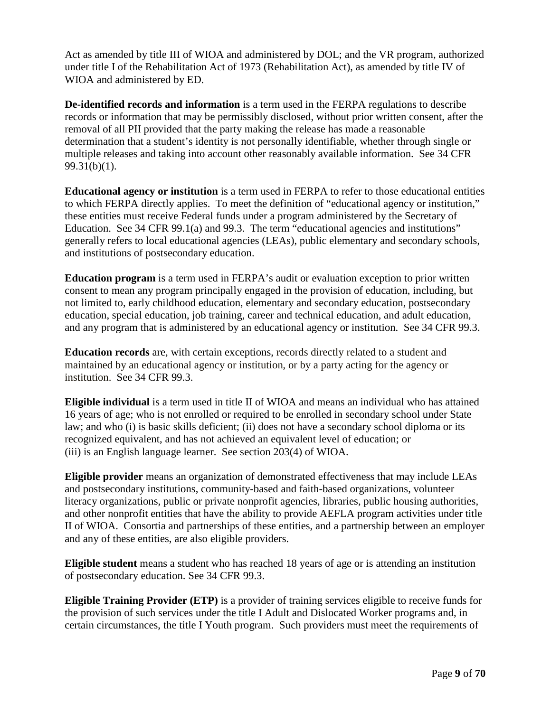Act as amended by title III of WIOA and administered by DOL; and the VR program, authorized under title I of the Rehabilitation Act of 1973 (Rehabilitation Act), as amended by title IV of WIOA and administered by ED.

**De-identified records and information** is a term used in the FERPA regulations to describe records or information that may be permissibly disclosed, without prior written consent, after the removal of all PII provided that the party making the release has made a reasonable determination that a student's identity is not personally identifiable, whether through single or multiple releases and taking into account other reasonably available information. See 34 CFR 99.31(b)(1).

**Educational agency or institution** is a term used in FERPA to refer to those educational entities to which FERPA directly applies. To meet the definition of "educational agency or institution," these entities must receive Federal funds under a program administered by the Secretary of Education. See 34 CFR 99.1(a) and 99.3. The term "educational agencies and institutions" generally refers to local educational agencies (LEAs), public elementary and secondary schools, and institutions of postsecondary education.

**Education program** is a term used in FERPA's audit or evaluation exception to prior written consent to mean any program principally engaged in the provision of education, including, but not limited to, early childhood education, elementary and secondary education, postsecondary education, special education, job training, career and technical education, and adult education, and any program that is administered by an educational agency or institution. See 34 CFR 99.3.

**Education records** are, with certain exceptions, records directly related to a student and maintained by an educational agency or institution, or by a party acting for the agency or institution. See 34 CFR 99.3.

**Eligible individual** is a term used in title II of WIOA and means an individual who has attained 16 years of age; who is not enrolled or required to be enrolled in secondary school under State law; and who (i) is basic skills deficient; (ii) does not have a secondary school diploma or its recognized equivalent, and has not achieved an equivalent level of education; or (iii) is an English language learner. See section 203(4) of WIOA.

**Eligible provider** means an organization of demonstrated effectiveness that may include LEAs and postsecondary institutions, community-based and faith-based organizations, volunteer literacy organizations, public or private nonprofit agencies, libraries, public housing authorities, and other nonprofit entities that have the ability to provide AEFLA program activities under title II of WIOA. Consortia and partnerships of these entities, and a partnership between an employer and any of these entities, are also eligible providers.

**Eligible student** means a student who has reached 18 years of age or is attending an institution of postsecondary education. See 34 CFR 99.3.

**Eligible Training Provider (ETP)** is a provider of training services eligible to receive funds for the provision of such services under the title I Adult and Dislocated Worker programs and, in certain circumstances, the title I Youth program. Such providers must meet the requirements of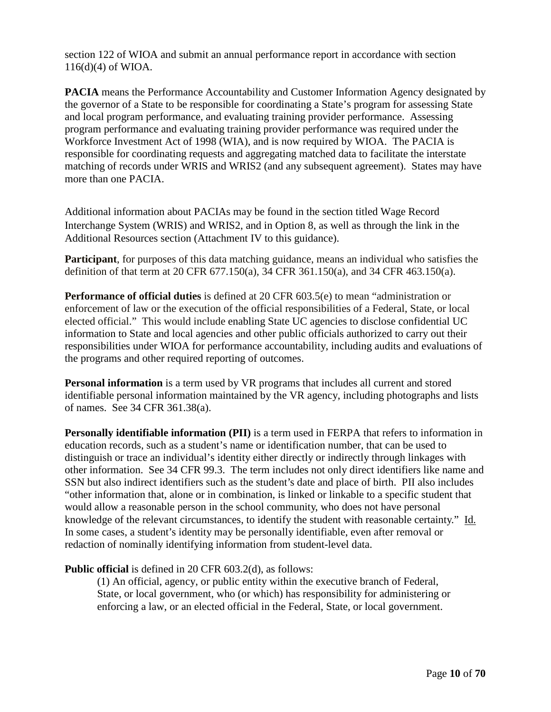section 122 of WIOA and submit an annual performance report in accordance with section 116(d)(4) of WIOA.

**PACIA** means the Performance Accountability and Customer Information Agency designated by the governor of a State to be responsible for coordinating a State's program for assessing State and local program performance, and evaluating training provider performance. Assessing program performance and evaluating training provider performance was required under the Workforce Investment Act of 1998 (WIA), and is now required by WIOA. The PACIA is responsible for coordinating requests and aggregating matched data to facilitate the interstate matching of records under WRIS and WRIS2 (and any subsequent agreement). States may have more than one PACIA.

Additional information about PACIAs may be found in the section titled Wage Record Interchange System (WRIS) and WRIS2, and in Option 8, as well as through the link in the Additional Resources section (Attachment IV to this guidance).

**Participant**, for purposes of this data matching guidance, means an individual who satisfies the definition of that term at 20 CFR 677.150(a), 34 CFR 361.150(a), and 34 CFR 463.150(a).

**Performance of official duties** is defined at 20 CFR 603.5(e) to mean "administration or enforcement of law or the execution of the official responsibilities of a Federal, State, or local elected official." This would include enabling State UC agencies to disclose confidential UC information to State and local agencies and other public officials authorized to carry out their responsibilities under WIOA for performance accountability, including audits and evaluations of the programs and other required reporting of outcomes.

**Personal information** is a term used by VR programs that includes all current and stored identifiable personal information maintained by the VR agency, including photographs and lists of names. See 34 CFR 361.38(a).

**Personally identifiable information (PII)** is a term used in FERPA that refers to information in education records, such as a student's name or identification number, that can be used to distinguish or trace an individual's identity either directly or indirectly through linkages with other information. See 34 CFR 99.3. The term includes not only direct identifiers like name and SSN but also indirect identifiers such as the student's date and place of birth. PII also includes "other information that, alone or in combination, is linked or linkable to a specific student that would allow a reasonable person in the school community, who does not have personal knowledge of the relevant circumstances, to identify the student with reasonable certainty." Id. In some cases, a student's identity may be personally identifiable, even after removal or redaction of nominally identifying information from student-level data.

**Public official** is defined in 20 CFR 603.2(d), as follows:

(1) An official, agency, or public entity within the executive branch of Federal, State, or local government, who (or which) has responsibility for administering or enforcing a law, or an elected official in the Federal, State, or local government.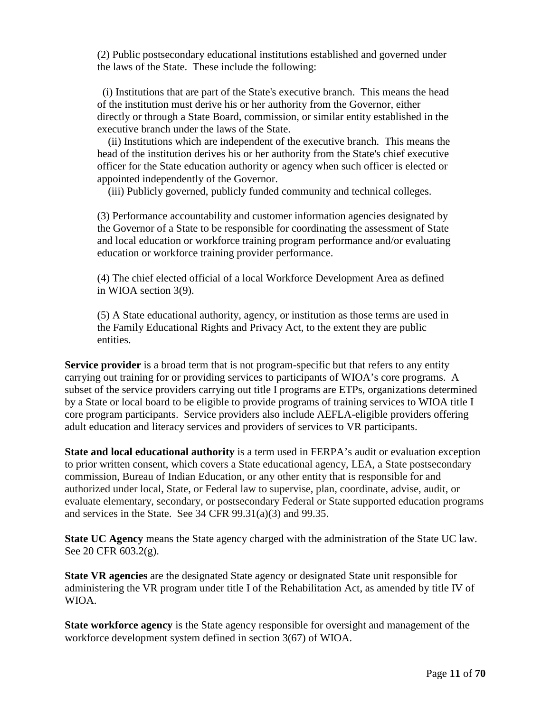(2) Public postsecondary educational institutions established and governed under the laws of the State. These include the following:

 (i) Institutions that are part of the State's executive branch. This means the head of the institution must derive his or her authority from the Governor, either directly or through a State Board, commission, or similar entity established in the executive branch under the laws of the State.

 (ii) Institutions which are independent of the executive branch. This means the head of the institution derives his or her authority from the State's chief executive officer for the State education authority or agency when such officer is elected or appointed independently of the Governor.

(iii) Publicly governed, publicly funded community and technical colleges.

(3) Performance accountability and customer information agencies designated by the Governor of a State to be responsible for coordinating the assessment of State and local education or workforce training program performance and/or evaluating education or workforce training provider performance.

(4) The chief elected official of a local Workforce Development Area as defined in WIOA section 3(9).

(5) A State educational authority, agency, or institution as those terms are used in the Family Educational Rights and Privacy Act, to the extent they are public entities.

**Service provider** is a broad term that is not program-specific but that refers to any entity carrying out training for or providing services to participants of WIOA's core programs. A subset of the service providers carrying out title I programs are ETPs, organizations determined by a State or local board to be eligible to provide programs of training services to WIOA title I core program participants. Service providers also include AEFLA-eligible providers offering adult education and literacy services and providers of services to VR participants.

**State and local educational authority** is a term used in FERPA's audit or evaluation exception to prior written consent, which covers a State educational agency, LEA, a State postsecondary commission, Bureau of Indian Education, or any other entity that is responsible for and authorized under local, State, or Federal law to supervise, plan, coordinate, advise, audit, or evaluate elementary, secondary, or postsecondary Federal or State supported education programs and services in the State. See 34 CFR 99.31(a)(3) and 99.35.

**State UC Agency** means the State agency charged with the administration of the State UC law. See 20 CFR 603.2(g).

**State VR agencies** are the designated State agency or designated State unit responsible for administering the VR program under title I of the Rehabilitation Act, as amended by title IV of WIOA.

**State workforce agency** is the State agency responsible for oversight and management of the workforce development system defined in section 3(67) of WIOA.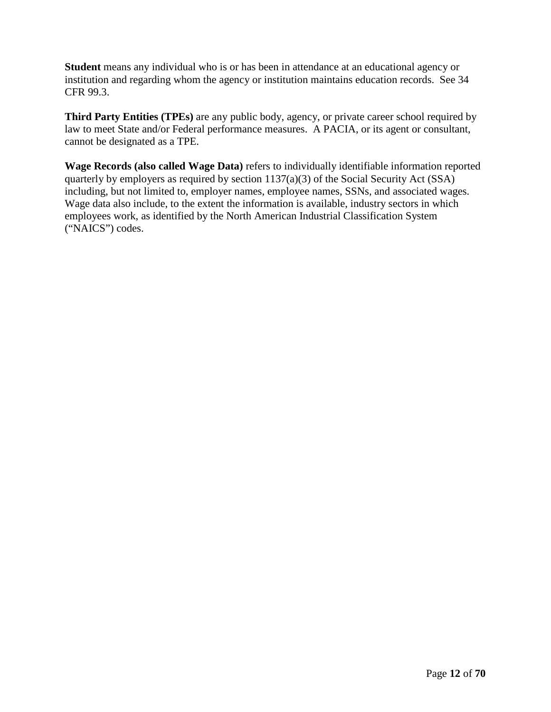**Student** means any individual who is or has been in attendance at an educational agency or institution and regarding whom the agency or institution maintains education records. See 34 CFR 99.3.

**Third Party Entities (TPEs)** are any public body, agency, or private career school required by law to meet State and/or Federal performance measures. A PACIA, or its agent or consultant, cannot be designated as a TPE.

**Wage Records (also called Wage Data)** refers to individually identifiable information reported quarterly by employers as required by section 1137(a)(3) of the Social Security Act (SSA) including, but not limited to, employer names, employee names, SSNs, and associated wages. Wage data also include, to the extent the information is available, industry sectors in which employees work, as identified by the North American Industrial Classification System ("NAICS") codes.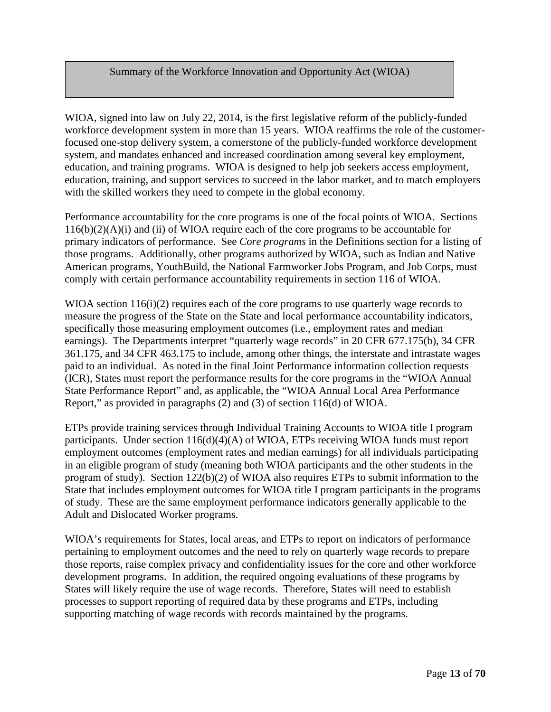### Summary of the Workforce Innovation and Opportunity Act (WIOA)

WIOA, signed into law on July 22, 2014, is the first legislative reform of the publicly-funded workforce development system in more than 15 years. WIOA reaffirms the role of the customerfocused one-stop delivery system, a cornerstone of the publicly-funded workforce development system, and mandates enhanced and increased coordination among several key employment, education, and training programs. WIOA is designed to help job seekers access employment, education, training, and support services to succeed in the labor market, and to match employers with the skilled workers they need to compete in the global economy.

Performance accountability for the core programs is one of the focal points of WIOA. Sections  $116(b)(2)(A)(i)$  and (ii) of WIOA require each of the core programs to be accountable for primary indicators of performance. See *Core programs* in the Definitions section for a listing of those programs. Additionally, other programs authorized by WIOA, such as Indian and Native American programs, YouthBuild, the National Farmworker Jobs Program, and Job Corps, must comply with certain performance accountability requirements in section 116 of WIOA.

WIOA section 116(i)(2) requires each of the core programs to use quarterly wage records to measure the progress of the State on the State and local performance accountability indicators, specifically those measuring employment outcomes (i.e., employment rates and median earnings). The Departments interpret "quarterly wage records" in 20 CFR 677.175(b), 34 CFR 361.175, and 34 CFR 463.175 to include, among other things, the interstate and intrastate wages paid to an individual. As noted in the final Joint Performance information collection requests (ICR), States must report the performance results for the core programs in the "WIOA Annual State Performance Report" and, as applicable, the "WIOA Annual Local Area Performance Report," as provided in paragraphs (2) and (3) of section 116(d) of WIOA.

ETPs provide training services through Individual Training Accounts to WIOA title I program participants. Under section 116(d)(4)(A) of WIOA, ETPs receiving WIOA funds must report employment outcomes (employment rates and median earnings) for all individuals participating in an eligible program of study (meaning both WIOA participants and the other students in the program of study). Section 122(b)(2) of WIOA also requires ETPs to submit information to the State that includes employment outcomes for WIOA title I program participants in the programs of study. These are the same employment performance indicators generally applicable to the Adult and Dislocated Worker programs.

WIOA's requirements for States, local areas, and ETPs to report on indicators of performance pertaining to employment outcomes and the need to rely on quarterly wage records to prepare those reports, raise complex privacy and confidentiality issues for the core and other workforce development programs. In addition, the required ongoing evaluations of these programs by States will likely require the use of wage records. Therefore, States will need to establish processes to support reporting of required data by these programs and ETPs, including supporting matching of wage records with records maintained by the programs.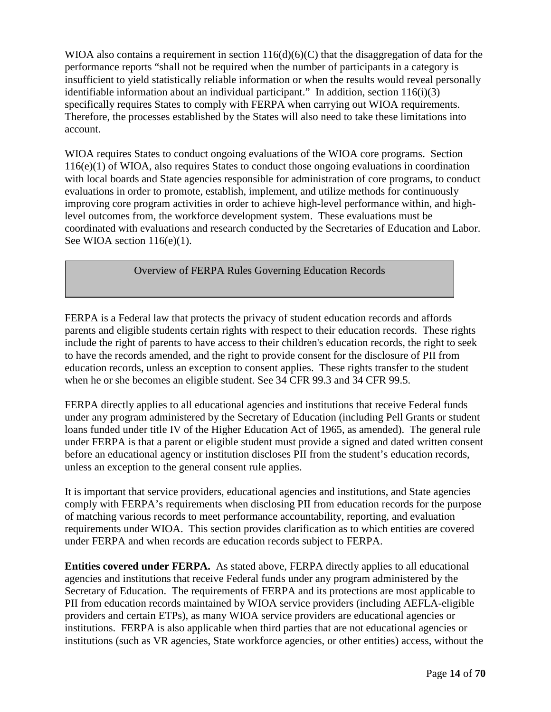WIOA also contains a requirement in section  $116(d)(6)(C)$  that the disaggregation of data for the performance reports "shall not be required when the number of participants in a category is insufficient to yield statistically reliable information or when the results would reveal personally identifiable information about an individual participant." In addition, section  $116(i)(3)$ specifically requires States to comply with FERPA when carrying out WIOA requirements. Therefore, the processes established by the States will also need to take these limitations into account.

WIOA requires States to conduct ongoing evaluations of the WIOA core programs. Section 116(e)(1) of WIOA, also requires States to conduct those ongoing evaluations in coordination with local boards and State agencies responsible for administration of core programs, to conduct evaluations in order to promote, establish, implement, and utilize methods for continuously improving core program activities in order to achieve high-level performance within, and highlevel outcomes from, the workforce development system. These evaluations must be coordinated with evaluations and research conducted by the Secretaries of Education and Labor. See WIOA section 116(e)(1).

Overview of FERPA Rules Governing Education Records

FERPA is a Federal law that protects the privacy of student education records and affords parents and eligible students certain rights with respect to their education records. These rights include the right of parents to have access to their children's education records, the right to seek to have the records amended, and the right to provide consent for the disclosure of PII from education records, unless an exception to consent applies. These rights transfer to the student when he or she becomes an eligible student. See 34 CFR 99.3 and 34 CFR 99.5.

FERPA directly applies to all educational agencies and institutions that receive Federal funds under any program administered by the Secretary of Education (including Pell Grants or student loans funded under title IV of the Higher Education Act of 1965, as amended). The general rule under FERPA is that a parent or eligible student must provide a signed and dated written consent before an educational agency or institution discloses PII from the student's education records, unless an exception to the general consent rule applies.

It is important that service providers, educational agencies and institutions, and State agencies comply with FERPA's requirements when disclosing PII from education records for the purpose of matching various records to meet performance accountability, reporting, and evaluation requirements under WIOA. This section provides clarification as to which entities are covered under FERPA and when records are education records subject to FERPA.

**Entities covered under FERPA.** As stated above, FERPA directly applies to all educational agencies and institutions that receive Federal funds under any program administered by the Secretary of Education. The requirements of FERPA and its protections are most applicable to PII from education records maintained by WIOA service providers (including AEFLA-eligible providers and certain ETPs), as many WIOA service providers are educational agencies or institutions. FERPA is also applicable when third parties that are not educational agencies or institutions (such as VR agencies, State workforce agencies, or other entities) access, without the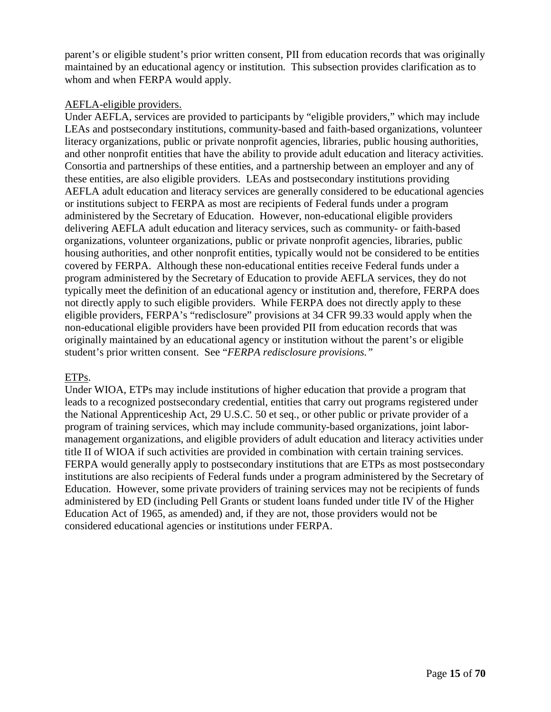parent's or eligible student's prior written consent, PII from education records that was originally maintained by an educational agency or institution. This subsection provides clarification as to whom and when FERPA would apply.

### AEFLA-eligible providers.

Under AEFLA, services are provided to participants by "eligible providers," which may include LEAs and postsecondary institutions, community-based and faith-based organizations, volunteer literacy organizations, public or private nonprofit agencies, libraries, public housing authorities, and other nonprofit entities that have the ability to provide adult education and literacy activities. Consortia and partnerships of these entities, and a partnership between an employer and any of these entities, are also eligible providers. LEAs and postsecondary institutions providing AEFLA adult education and literacy services are generally considered to be educational agencies or institutions subject to FERPA as most are recipients of Federal funds under a program administered by the Secretary of Education. However, non-educational eligible providers delivering AEFLA adult education and literacy services, such as community- or faith-based organizations, volunteer organizations, public or private nonprofit agencies, libraries, public housing authorities, and other nonprofit entities, typically would not be considered to be entities covered by FERPA. Although these non-educational entities receive Federal funds under a program administered by the Secretary of Education to provide AEFLA services, they do not typically meet the definition of an educational agency or institution and, therefore, FERPA does not directly apply to such eligible providers. While FERPA does not directly apply to these eligible providers, FERPA's "redisclosure" provisions at 34 CFR 99.33 would apply when the non-educational eligible providers have been provided PII from education records that was originally maintained by an educational agency or institution without the parent's or eligible student's prior written consent. See "*FERPA redisclosure provisions."*

## ETPs.

Under WIOA, ETPs may include institutions of higher education that provide a program that leads to a recognized postsecondary credential, entities that carry out programs registered under the National Apprenticeship Act, 29 U.S.C. 50 et seq., or other public or private provider of a program of training services, which may include community-based organizations, joint labormanagement organizations, and eligible providers of adult education and literacy activities under title II of WIOA if such activities are provided in combination with certain training services. FERPA would generally apply to postsecondary institutions that are ETPs as most postsecondary institutions are also recipients of Federal funds under a program administered by the Secretary of Education. However, some private providers of training services may not be recipients of funds administered by ED (including Pell Grants or student loans funded under title IV of the Higher Education Act of 1965, as amended) and, if they are not, those providers would not be considered educational agencies or institutions under FERPA.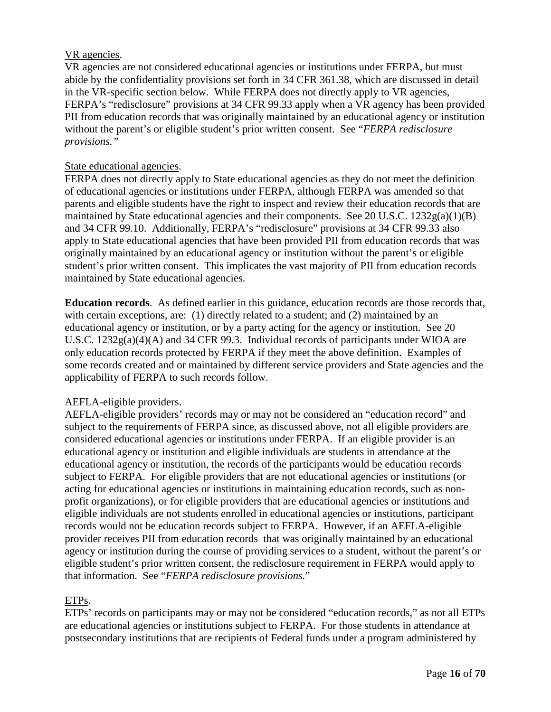## VR agencies.

VR agencies are not considered educational agencies or institutions under FERPA, but must abide by the confidentiality provisions set forth in 34 CFR 361.38, which are discussed in detail in the VR-specific section below. While FERPA does not directly apply to VR agencies, FERPA's "redisclosure" provisions at 34 CFR 99.33 apply when a VR agency has been provided PII from education records that was originally maintained by an educational agency or institution without the parent's or eligible student's prior written consent. See "*FERPA redisclosure provisions."*

### State educational agencies.

FERPA does not directly apply to State educational agencies as they do not meet the definition of educational agencies or institutions under FERPA, although FERPA was amended so that parents and eligible students have the right to inspect and review their education records that are maintained by State educational agencies and their components. See 20 U.S.C. 1232g(a)(1)(B) and 34 CFR 99.10. Additionally, FERPA's "redisclosure" provisions at 34 CFR 99.33 also apply to State educational agencies that have been provided PII from education records that was originally maintained by an educational agency or institution without the parent's or eligible student's prior written consent. This implicates the vast majority of PII from education records maintained by State educational agencies.

**Education records**. As defined earlier in this guidance, education records are those records that, with certain exceptions, are: (1) directly related to a student; and (2) maintained by an educational agency or institution, or by a party acting for the agency or institution. See 20 U.S.C. 1232g(a)(4)(A) and 34 CFR 99.3. Individual records of participants under WIOA are only education records protected by FERPA if they meet the above definition. Examples of some records created and or maintained by different service providers and State agencies and the applicability of FERPA to such records follow.

## AEFLA-eligible providers.

AEFLA-eligible providers' records may or may not be considered an "education record" and subject to the requirements of FERPA since, as discussed above, not all eligible providers are considered educational agencies or institutions under FERPA. If an eligible provider is an educational agency or institution and eligible individuals are students in attendance at the educational agency or institution, the records of the participants would be education records subject to FERPA. For eligible providers that are not educational agencies or institutions (or acting for educational agencies or institutions in maintaining education records, such as nonprofit organizations), or for eligible providers that are educational agencies or institutions and eligible individuals are not students enrolled in educational agencies or institutions, participant records would not be education records subject to FERPA. However, if an AEFLA-eligible provider receives PII from education records that was originally maintained by an educational agency or institution during the course of providing services to a student, without the parent's or eligible student's prior written consent, the redisclosure requirement in FERPA would apply to that information. See "*FERPA redisclosure provisions.*"

## ETPs.

ETPs' records on participants may or may not be considered "education records," as not all ETPs are educational agencies or institutions subject to FERPA. For those students in attendance at postsecondary institutions that are recipients of Federal funds under a program administered by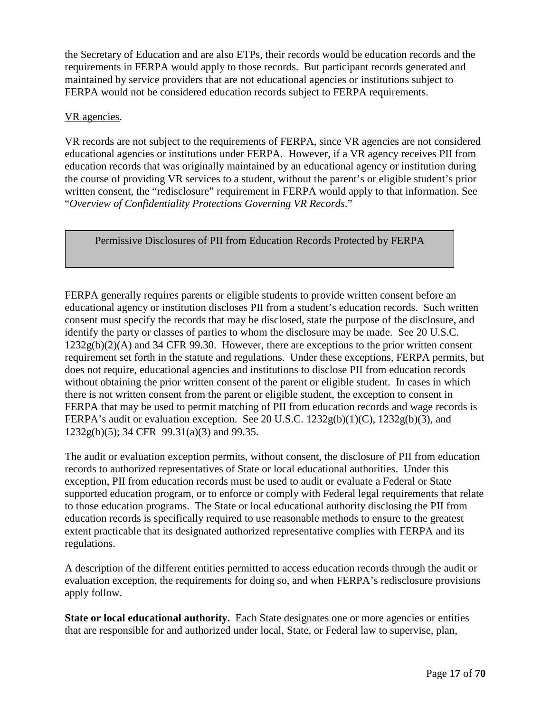the Secretary of Education and are also ETPs, their records would be education records and the requirements in FERPA would apply to those records. But participant records generated and maintained by service providers that are not educational agencies or institutions subject to FERPA would not be considered education records subject to FERPA requirements.

### VR agencies.

VR records are not subject to the requirements of FERPA, since VR agencies are not considered educational agencies or institutions under FERPA. However, if a VR agency receives PII from education records that was originally maintained by an educational agency or institution during the course of providing VR services to a student, without the parent's or eligible student's prior written consent, the "redisclosure" requirement in FERPA would apply to that information. See "*Overview of Confidentiality Protections Governing VR Records*."

Permissive Disclosures of PII from Education Records Protected by FERPA

FERPA generally requires parents or eligible students to provide written consent before an educational agency or institution discloses PII from a student's education records. Such written consent must specify the records that may be disclosed, state the purpose of the disclosure, and identify the party or classes of parties to whom the disclosure may be made. See 20 U.S.C.  $1232g(b)(2)(A)$  and 34 CFR 99.30. However, there are exceptions to the prior written consent requirement set forth in the statute and regulations. Under these exceptions, FERPA permits, but does not require, educational agencies and institutions to disclose PII from education records without obtaining the prior written consent of the parent or eligible student. In cases in which there is not written consent from the parent or eligible student, the exception to consent in FERPA that may be used to permit matching of PII from education records and wage records is FERPA's audit or evaluation exception. See 20 U.S.C. 1232g(b)(1)(C), 1232g(b)(3), and 1232g(b)(5); 34 CFR 99.31(a)(3) and 99.35.

The audit or evaluation exception permits, without consent, the disclosure of PII from education records to authorized representatives of State or local educational authorities. Under this exception, PII from education records must be used to audit or evaluate a Federal or State supported education program, or to enforce or comply with Federal legal requirements that relate to those education programs. The State or local educational authority disclosing the PII from education records is specifically required to use reasonable methods to ensure to the greatest extent practicable that its designated authorized representative complies with FERPA and its regulations.

A description of the different entities permitted to access education records through the audit or evaluation exception, the requirements for doing so, and when FERPA's redisclosure provisions apply follow.

State or local educational authority. Each State designates one or more agencies or entities that are responsible for and authorized under local, State, or Federal law to supervise, plan,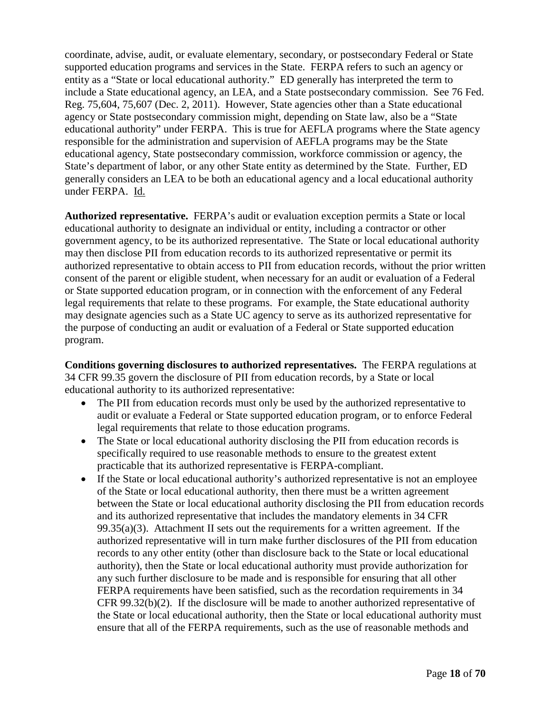coordinate, advise, audit, or evaluate elementary, secondary, or postsecondary Federal or State supported education programs and services in the State. FERPA refers to such an agency or entity as a "State or local educational authority." ED generally has interpreted the term to include a State educational agency, an LEA, and a State postsecondary commission. See 76 Fed. Reg. 75,604, 75,607 (Dec. 2, 2011). However, State agencies other than a State educational agency or State postsecondary commission might, depending on State law, also be a "State educational authority" under FERPA. This is true for AEFLA programs where the State agency responsible for the administration and supervision of AEFLA programs may be the State educational agency, State postsecondary commission, workforce commission or agency, the State's department of labor, or any other State entity as determined by the State. Further, ED generally considers an LEA to be both an educational agency and a local educational authority under FERPA. Id.

**Authorized representative.** FERPA's audit or evaluation exception permits a State or local educational authority to designate an individual or entity, including a contractor or other government agency, to be its authorized representative. The State or local educational authority may then disclose PII from education records to its authorized representative or permit its authorized representative to obtain access to PII from education records, without the prior written consent of the parent or eligible student, when necessary for an audit or evaluation of a Federal or State supported education program, or in connection with the enforcement of any Federal legal requirements that relate to these programs. For example, the State educational authority may designate agencies such as a State UC agency to serve as its authorized representative for the purpose of conducting an audit or evaluation of a Federal or State supported education program.

**Conditions governing disclosures to authorized representatives.** The FERPA regulations at 34 CFR 99.35 govern the disclosure of PII from education records, by a State or local educational authority to its authorized representative:

- The PII from education records must only be used by the authorized representative to audit or evaluate a Federal or State supported education program, or to enforce Federal legal requirements that relate to those education programs.
- The State or local educational authority disclosing the PII from education records is specifically required to use reasonable methods to ensure to the greatest extent practicable that its authorized representative is FERPA-compliant.
- If the State or local educational authority's authorized representative is not an employee of the State or local educational authority, then there must be a written agreement between the State or local educational authority disclosing the PII from education records and its authorized representative that includes the mandatory elements in 34 CFR  $99.35(a)(3)$ . Attachment II sets out the requirements for a written agreement. If the authorized representative will in turn make further disclosures of the PII from education records to any other entity (other than disclosure back to the State or local educational authority), then the State or local educational authority must provide authorization for any such further disclosure to be made and is responsible for ensuring that all other FERPA requirements have been satisfied, such as the recordation requirements in 34 CFR 99.32(b)(2). If the disclosure will be made to another authorized representative of the State or local educational authority, then the State or local educational authority must ensure that all of the FERPA requirements, such as the use of reasonable methods and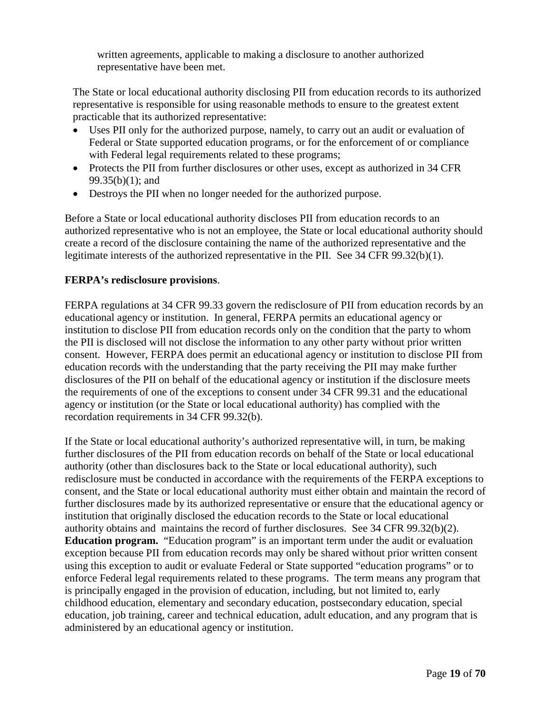written agreements, applicable to making a disclosure to another authorized representative have been met.

The State or local educational authority disclosing PII from education records to its authorized representative is responsible for using reasonable methods to ensure to the greatest extent practicable that its authorized representative:

- Uses PII only for the authorized purpose, namely, to carry out an audit or evaluation of Federal or State supported education programs, or for the enforcement of or compliance with Federal legal requirements related to these programs;
- Protects the PII from further disclosures or other uses, except as authorized in 34 CFR 99.35(b)(1); and
- Destroys the PII when no longer needed for the authorized purpose.

Before a State or local educational authority discloses PII from education records to an authorized representative who is not an employee, the State or local educational authority should create a record of the disclosure containing the name of the authorized representative and the legitimate interests of the authorized representative in the PII. See 34 CFR 99.32(b)(1).

## **FERPA's redisclosure provisions**.

FERPA regulations at 34 CFR 99.33 govern the redisclosure of PII from education records by an educational agency or institution. In general, FERPA permits an educational agency or institution to disclose PII from education records only on the condition that the party to whom the PII is disclosed will not disclose the information to any other party without prior written consent. However, FERPA does permit an educational agency or institution to disclose PII from education records with the understanding that the party receiving the PII may make further disclosures of the PII on behalf of the educational agency or institution if the disclosure meets the requirements of one of the exceptions to consent under 34 CFR 99.31 and the educational agency or institution (or the State or local educational authority) has complied with the recordation requirements in 34 CFR 99.32(b).

If the State or local educational authority's authorized representative will, in turn, be making further disclosures of the PII from education records on behalf of the State or local educational authority (other than disclosures back to the State or local educational authority), such redisclosure must be conducted in accordance with the requirements of the FERPA exceptions to consent, and the State or local educational authority must either obtain and maintain the record of further disclosures made by its authorized representative or ensure that the educational agency or institution that originally disclosed the education records to the State or local educational authority obtains and maintains the record of further disclosures. See 34 CFR 99.32(b)(2). **Education program.** "Education program" is an important term under the audit or evaluation exception because PII from education records may only be shared without prior written consent using this exception to audit or evaluate Federal or State supported "education programs" or to enforce Federal legal requirements related to these programs. The term means any program that is principally engaged in the provision of education, including, but not limited to, early childhood education, elementary and secondary education, postsecondary education, special education, job training, career and technical education, adult education, and any program that is administered by an educational agency or institution.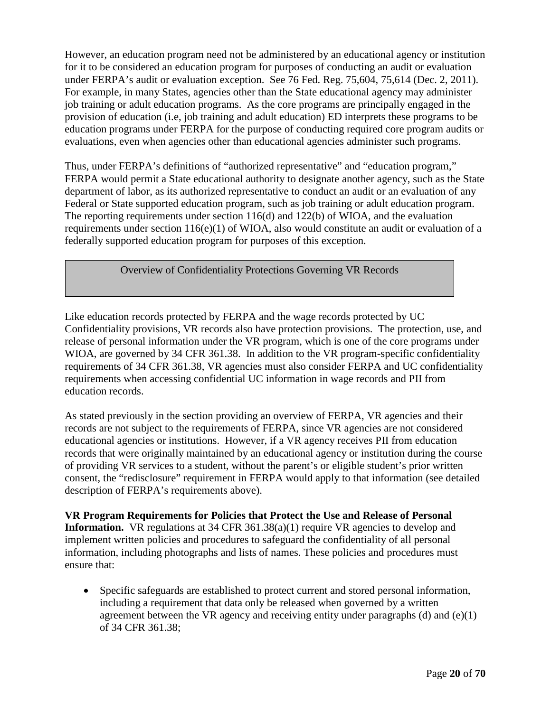However, an education program need not be administered by an educational agency or institution for it to be considered an education program for purposes of conducting an audit or evaluation under FERPA's audit or evaluation exception. See 76 Fed. Reg. 75,604, 75,614 (Dec. 2, 2011). For example, in many States, agencies other than the State educational agency may administer job training or adult education programs. As the core programs are principally engaged in the provision of education (i.e, job training and adult education) ED interprets these programs to be education programs under FERPA for the purpose of conducting required core program audits or evaluations, even when agencies other than educational agencies administer such programs.

Thus, under FERPA's definitions of "authorized representative" and "education program," FERPA would permit a State educational authority to designate another agency, such as the State department of labor, as its authorized representative to conduct an audit or an evaluation of any Federal or State supported education program, such as job training or adult education program. The reporting requirements under section 116(d) and 122(b) of WIOA, and the evaluation requirements under section 116(e)(1) of WIOA, also would constitute an audit or evaluation of a federally supported education program for purposes of this exception.

Overview of Confidentiality Protections Governing VR Records

Like education records protected by FERPA and the wage records protected by UC Confidentiality provisions, VR records also have protection provisions. The protection, use, and release of personal information under the VR program, which is one of the core programs under WIOA, are governed by 34 CFR 361.38. In addition to the VR program-specific confidentiality requirements of 34 CFR 361.38, VR agencies must also consider FERPA and UC confidentiality requirements when accessing confidential UC information in wage records and PII from education records.

As stated previously in the section providing an overview of FERPA, VR agencies and their records are not subject to the requirements of FERPA, since VR agencies are not considered educational agencies or institutions. However, if a VR agency receives PII from education records that were originally maintained by an educational agency or institution during the course of providing VR services to a student, without the parent's or eligible student's prior written consent, the "redisclosure" requirement in FERPA would apply to that information (see detailed description of FERPA's requirements above).

**VR Program Requirements for Policies that Protect the Use and Release of Personal Information.** VR regulations at 34 CFR 361.38(a)(1) require VR agencies to develop and implement written policies and procedures to safeguard the confidentiality of all personal information, including photographs and lists of names. These policies and procedures must ensure that:

• Specific safeguards are established to protect current and stored personal information, including a requirement that data only be released when governed by a written agreement between the VR agency and receiving entity under paragraphs (d) and (e)(1) of 34 CFR 361.38;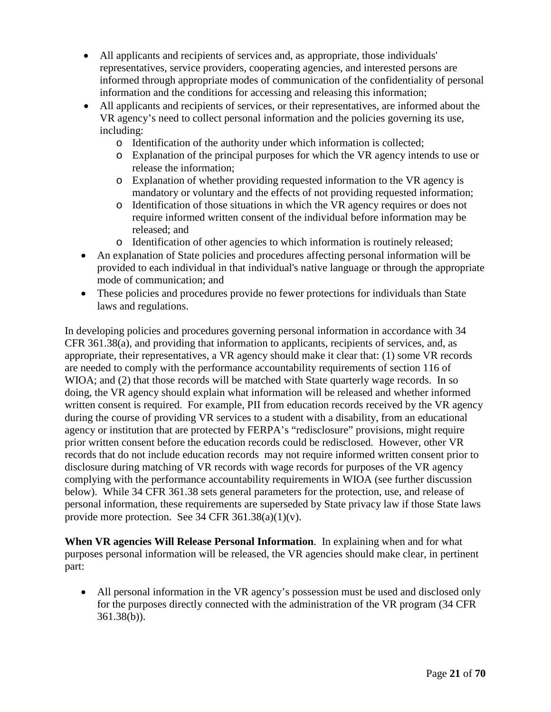- All applicants and recipients of services and, as appropriate, those individuals' representatives, service providers, cooperating agencies, and interested persons are informed through appropriate modes of communication of the confidentiality of personal information and the conditions for accessing and releasing this information;
- All applicants and recipients of services, or their representatives, are informed about the VR agency's need to collect personal information and the policies governing its use, including:
	- o Identification of the authority under which information is collected;
	- o Explanation of the principal purposes for which the VR agency intends to use or release the information;
	- o Explanation of whether providing requested information to the VR agency is mandatory or voluntary and the effects of not providing requested information;
	- o Identification of those situations in which the VR agency requires or does not require informed written consent of the individual before information may be released; and
	- o Identification of other agencies to which information is routinely released;
- An explanation of State policies and procedures affecting personal information will be provided to each individual in that individual's native language or through the appropriate mode of communication; and
- These policies and procedures provide no fewer protections for individuals than State laws and regulations.

In developing policies and procedures governing personal information in accordance with 34 CFR 361.38(a), and providing that information to applicants, recipients of services, and, as appropriate, their representatives, a VR agency should make it clear that: (1) some VR records are needed to comply with the performance accountability requirements of section 116 of WIOA; and (2) that those records will be matched with State quarterly wage records. In so doing, the VR agency should explain what information will be released and whether informed written consent is required. For example, PII from education records received by the VR agency during the course of providing VR services to a student with a disability, from an educational agency or institution that are protected by FERPA's "redisclosure" provisions, might require prior written consent before the education records could be redisclosed. However, other VR records that do not include education records may not require informed written consent prior to disclosure during matching of VR records with wage records for purposes of the VR agency complying with the performance accountability requirements in WIOA (see further discussion below). While 34 CFR 361.38 sets general parameters for the protection, use, and release of personal information, these requirements are superseded by State privacy law if those State laws provide more protection. See 34 CFR  $361.38(a)(1)(v)$ .

**When VR agencies Will Release Personal Information**. In explaining when and for what purposes personal information will be released, the VR agencies should make clear, in pertinent part:

• All personal information in the VR agency's possession must be used and disclosed only for the purposes directly connected with the administration of the VR program (34 CFR 361.38(b)).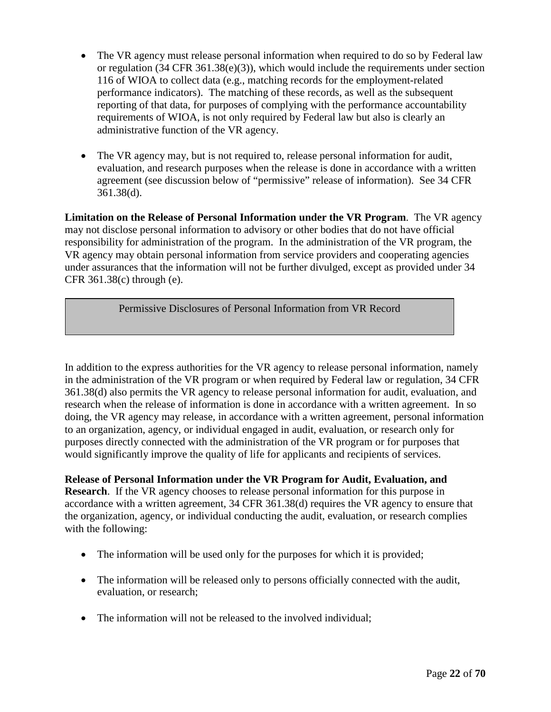- The VR agency must release personal information when required to do so by Federal law or regulation (34 CFR 361.38(e)(3)), which would include the requirements under section 116 of WIOA to collect data (e.g., matching records for the employment-related performance indicators). The matching of these records, as well as the subsequent reporting of that data, for purposes of complying with the performance accountability requirements of WIOA, is not only required by Federal law but also is clearly an administrative function of the VR agency.
- The VR agency may, but is not required to, release personal information for audit, evaluation, and research purposes when the release is done in accordance with a written agreement (see discussion below of "permissive" release of information). See 34 CFR 361.38(d).

**Limitation on the Release of Personal Information under the VR Program**. The VR agency may not disclose personal information to advisory or other bodies that do not have official responsibility for administration of the program. In the administration of the VR program, the VR agency may obtain personal information from service providers and cooperating agencies under assurances that the information will not be further divulged, except as provided under 34 CFR 361.38(c) through (e).

Permissive Disclosures of Personal Information from VR Record

In addition to the express authorities for the VR agency to release personal information, namely in the administration of the VR program or when required by Federal law or regulation, 34 CFR 361.38(d) also permits the VR agency to release personal information for audit, evaluation, and research when the release of information is done in accordance with a written agreement. In so doing, the VR agency may release, in accordance with a written agreement, personal information to an organization, agency, or individual engaged in audit, evaluation, or research only for purposes directly connected with the administration of the VR program or for purposes that would significantly improve the quality of life for applicants and recipients of services.

**Release of Personal Information under the VR Program for Audit, Evaluation, and Research**. If the VR agency chooses to release personal information for this purpose in accordance with a written agreement, 34 CFR 361.38(d) requires the VR agency to ensure that the organization, agency, or individual conducting the audit, evaluation, or research complies with the following:

- The information will be used only for the purposes for which it is provided;
- The information will be released only to persons officially connected with the audit, evaluation, or research;
- The information will not be released to the involved individual;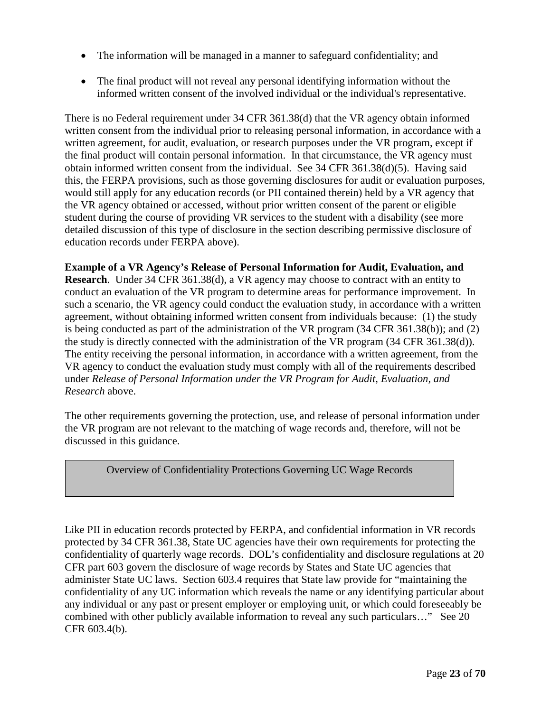- The information will be managed in a manner to safeguard confidentiality; and
- The final product will not reveal any personal identifying information without the informed written consent of the involved individual or the individual's representative.

There is no Federal requirement under 34 CFR 361.38(d) that the VR agency obtain informed written consent from the individual prior to releasing personal information, in accordance with a written agreement, for audit, evaluation, or research purposes under the VR program, except if the final product will contain personal information. In that circumstance, the VR agency must obtain informed written consent from the individual. See 34 CFR 361.38(d)(5). Having said this, the FERPA provisions, such as those governing disclosures for audit or evaluation purposes, would still apply for any education records (or PII contained therein) held by a VR agency that the VR agency obtained or accessed, without prior written consent of the parent or eligible student during the course of providing VR services to the student with a disability (see more detailed discussion of this type of disclosure in the section describing permissive disclosure of education records under FERPA above).

**Example of a VR Agency's Release of Personal Information for Audit, Evaluation, and Research**. Under 34 CFR 361.38(d), a VR agency may choose to contract with an entity to conduct an evaluation of the VR program to determine areas for performance improvement. In such a scenario, the VR agency could conduct the evaluation study, in accordance with a written agreement, without obtaining informed written consent from individuals because: (1) the study is being conducted as part of the administration of the VR program (34 CFR 361.38(b)); and (2) the study is directly connected with the administration of the VR program (34 CFR 361.38(d)). The entity receiving the personal information, in accordance with a written agreement, from the VR agency to conduct the evaluation study must comply with all of the requirements described under *Release of Personal Information under the VR Program for Audit, Evaluation, and Research* above.

The other requirements governing the protection, use, and release of personal information under the VR program are not relevant to the matching of wage records and, therefore, will not be discussed in this guidance.

Overview of Confidentiality Protections Governing UC Wage Records

Like PII in education records protected by FERPA, and confidential information in VR records protected by 34 CFR 361.38, State UC agencies have their own requirements for protecting the confidentiality of quarterly wage records. DOL's confidentiality and disclosure regulations at 20 CFR part 603 govern the disclosure of wage records by States and State UC agencies that administer State UC laws. Section 603.4 requires that State law provide for "maintaining the confidentiality of any UC information which reveals the name or any identifying particular about any individual or any past or present employer or employing unit, or which could foreseeably be combined with other publicly available information to reveal any such particulars…" See 20 CFR 603.4(b).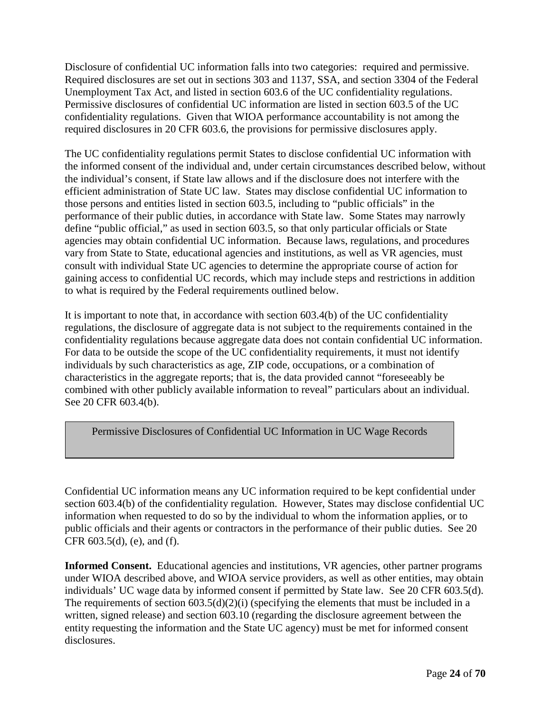Disclosure of confidential UC information falls into two categories: required and permissive. Required disclosures are set out in sections 303 and 1137, SSA, and section 3304 of the Federal Unemployment Tax Act, and listed in section 603.6 of the UC confidentiality regulations. Permissive disclosures of confidential UC information are listed in section 603.5 of the UC confidentiality regulations. Given that WIOA performance accountability is not among the required disclosures in 20 CFR 603.6, the provisions for permissive disclosures apply.

The UC confidentiality regulations permit States to disclose confidential UC information with the informed consent of the individual and, under certain circumstances described below, without the individual's consent, if State law allows and if the disclosure does not interfere with the efficient administration of State UC law. States may disclose confidential UC information to those persons and entities listed in section 603.5, including to "public officials" in the performance of their public duties, in accordance with State law. Some States may narrowly define "public official," as used in section 603.5, so that only particular officials or State agencies may obtain confidential UC information. Because laws, regulations, and procedures vary from State to State, educational agencies and institutions, as well as VR agencies, must consult with individual State UC agencies to determine the appropriate course of action for gaining access to confidential UC records, which may include steps and restrictions in addition to what is required by the Federal requirements outlined below.

It is important to note that, in accordance with section 603.4(b) of the UC confidentiality regulations, the disclosure of aggregate data is not subject to the requirements contained in the confidentiality regulations because aggregate data does not contain confidential UC information. For data to be outside the scope of the UC confidentiality requirements, it must not identify individuals by such characteristics as age, ZIP code, occupations, or a combination of characteristics in the aggregate reports; that is, the data provided cannot "foreseeably be combined with other publicly available information to reveal" particulars about an individual. See 20 CFR 603.4(b).

Permissive Disclosures of Confidential UC Information in UC Wage Records

Confidential UC information means any UC information required to be kept confidential under section 603.4(b) of the confidentiality regulation. However, States may disclose confidential UC information when requested to do so by the individual to whom the information applies, or to public officials and their agents or contractors in the performance of their public duties. See 20 CFR 603.5(d), (e), and (f).

**Informed Consent.** Educational agencies and institutions, VR agencies, other partner programs under WIOA described above, and WIOA service providers, as well as other entities, may obtain individuals' UC wage data by informed consent if permitted by State law. See 20 CFR 603.5(d). The requirements of section 603.5(d)(2)(i) (specifying the elements that must be included in a written, signed release) and section 603.10 (regarding the disclosure agreement between the entity requesting the information and the State UC agency) must be met for informed consent disclosures.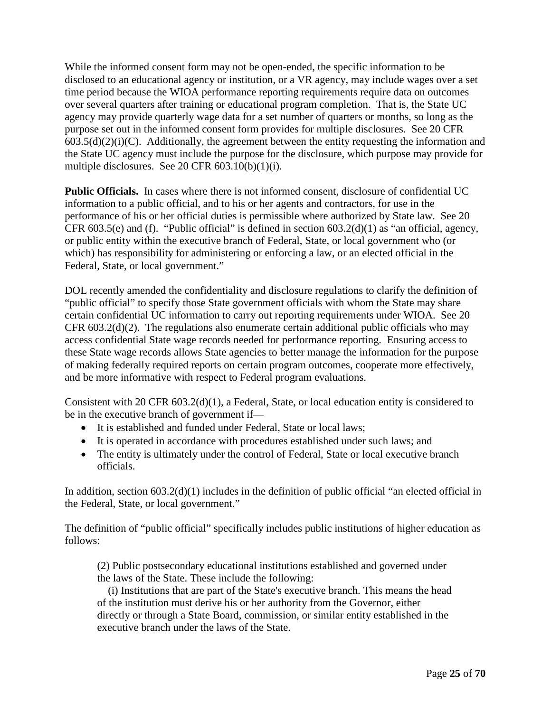While the informed consent form may not be open-ended, the specific information to be disclosed to an educational agency or institution, or a VR agency, may include wages over a set time period because the WIOA performance reporting requirements require data on outcomes over several quarters after training or educational program completion. That is, the State UC agency may provide quarterly wage data for a set number of quarters or months, so long as the purpose set out in the informed consent form provides for multiple disclosures. See 20 CFR  $603.5(d)(2)(i)(C)$ . Additionally, the agreement between the entity requesting the information and the State UC agency must include the purpose for the disclosure, which purpose may provide for multiple disclosures. See 20 CFR  $603.10(b)(1)(i)$ .

**Public Officials.** In cases where there is not informed consent, disclosure of confidential UC information to a public official, and to his or her agents and contractors, for use in the performance of his or her official duties is permissible where authorized by State law. See 20 CFR 603.5(e) and (f). "Public official" is defined in section 603.2(d)(1) as "an official, agency, or public entity within the executive branch of Federal, State, or local government who (or which) has responsibility for administering or enforcing a law, or an elected official in the Federal, State, or local government."

DOL recently amended the confidentiality and disclosure regulations to clarify the definition of "public official" to specify those State government officials with whom the State may share certain confidential UC information to carry out reporting requirements under WIOA. See 20 CFR 603.2(d)(2). The regulations also enumerate certain additional public officials who may access confidential State wage records needed for performance reporting. Ensuring access to these State wage records allows State agencies to better manage the information for the purpose of making federally required reports on certain program outcomes, cooperate more effectively, and be more informative with respect to Federal program evaluations.

Consistent with 20 CFR 603.2(d)(1), a Federal, State, or local education entity is considered to be in the executive branch of government if—

- It is established and funded under Federal, State or local laws;
- It is operated in accordance with procedures established under such laws; and
- The entity is ultimately under the control of Federal, State or local executive branch officials.

In addition, section 603.2(d)(1) includes in the definition of public official "an elected official in the Federal, State, or local government."

The definition of "public official" specifically includes public institutions of higher education as follows:

(2) Public postsecondary educational institutions established and governed under the laws of the State. These include the following:

 (i) Institutions that are part of the State's executive branch. This means the head of the institution must derive his or her authority from the Governor, either directly or through a State Board, commission, or similar entity established in the executive branch under the laws of the State.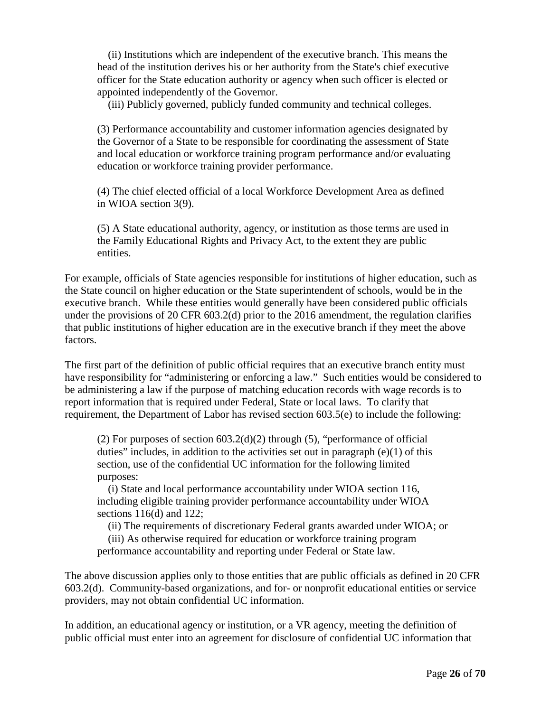(ii) Institutions which are independent of the executive branch. This means the head of the institution derives his or her authority from the State's chief executive officer for the State education authority or agency when such officer is elected or appointed independently of the Governor.

(iii) Publicly governed, publicly funded community and technical colleges.

(3) Performance accountability and customer information agencies designated by the Governor of a State to be responsible for coordinating the assessment of State and local education or workforce training program performance and/or evaluating education or workforce training provider performance.

(4) The chief elected official of a local Workforce Development Area as defined in WIOA section 3(9).

(5) A State educational authority, agency, or institution as those terms are used in the Family Educational Rights and Privacy Act, to the extent they are public entities.

For example, officials of State agencies responsible for institutions of higher education, such as the State council on higher education or the State superintendent of schools, would be in the executive branch. While these entities would generally have been considered public officials under the provisions of 20 CFR 603.2(d) prior to the 2016 amendment, the regulation clarifies that public institutions of higher education are in the executive branch if they meet the above factors.

The first part of the definition of public official requires that an executive branch entity must have responsibility for "administering or enforcing a law." Such entities would be considered to be administering a law if the purpose of matching education records with wage records is to report information that is required under Federal, State or local laws. To clarify that requirement, the Department of Labor has revised section 603.5(e) to include the following:

(2) For purposes of section  $603.2(d)(2)$  through (5), "performance of official duties" includes, in addition to the activities set out in paragraph  $(e)(1)$  of this section, use of the confidential UC information for the following limited purposes:

 (i) State and local performance accountability under WIOA section 116, including eligible training provider performance accountability under WIOA sections 116(d) and 122;

(ii) The requirements of discretionary Federal grants awarded under WIOA; or

 (iii) As otherwise required for education or workforce training program performance accountability and reporting under Federal or State law.

The above discussion applies only to those entities that are public officials as defined in 20 CFR 603.2(d). Community-based organizations, and for- or nonprofit educational entities or service providers, may not obtain confidential UC information.

In addition, an educational agency or institution, or a VR agency, meeting the definition of public official must enter into an agreement for disclosure of confidential UC information that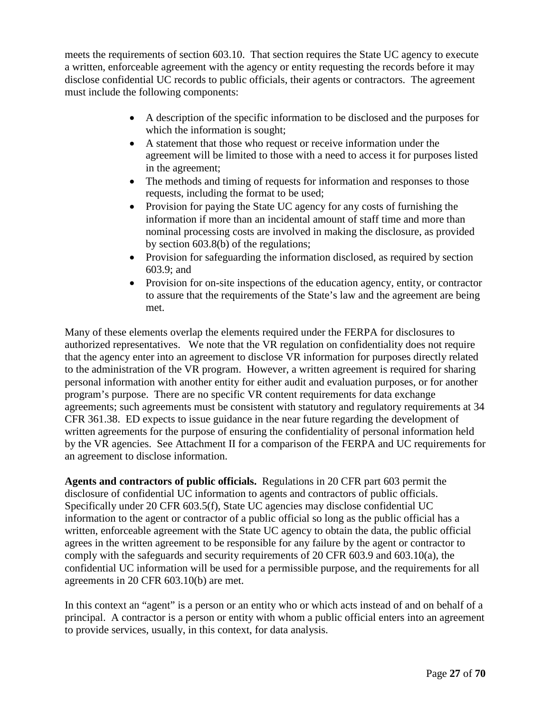meets the requirements of section 603.10. That section requires the State UC agency to execute a written, enforceable agreement with the agency or entity requesting the records before it may disclose confidential UC records to public officials, their agents or contractors. The agreement must include the following components:

- A description of the specific information to be disclosed and the purposes for which the information is sought;
- A statement that those who request or receive information under the agreement will be limited to those with a need to access it for purposes listed in the agreement;
- The methods and timing of requests for information and responses to those requests, including the format to be used;
- Provision for paying the State UC agency for any costs of furnishing the information if more than an incidental amount of staff time and more than nominal processing costs are involved in making the disclosure, as provided by section 603.8(b) of the regulations;
- Provision for safeguarding the information disclosed, as required by section 603.9; and
- Provision for on-site inspections of the education agency, entity, or contractor to assure that the requirements of the State's law and the agreement are being met.

Many of these elements overlap the elements required under the FERPA for disclosures to authorized representatives. We note that the VR regulation on confidentiality does not require that the agency enter into an agreement to disclose VR information for purposes directly related to the administration of the VR program. However, a written agreement is required for sharing personal information with another entity for either audit and evaluation purposes, or for another program's purpose. There are no specific VR content requirements for data exchange agreements; such agreements must be consistent with statutory and regulatory requirements at 34 CFR 361.38. ED expects to issue guidance in the near future regarding the development of written agreements for the purpose of ensuring the confidentiality of personal information held by the VR agencies. See Attachment II for a comparison of the FERPA and UC requirements for an agreement to disclose information.

**Agents and contractors of public officials.** Regulations in 20 CFR part 603 permit the disclosure of confidential UC information to agents and contractors of public officials. Specifically under 20 CFR 603.5(f), State UC agencies may disclose confidential UC information to the agent or contractor of a public official so long as the public official has a written, enforceable agreement with the State UC agency to obtain the data, the public official agrees in the written agreement to be responsible for any failure by the agent or contractor to comply with the safeguards and security requirements of 20 CFR 603.9 and 603.10(a), the confidential UC information will be used for a permissible purpose, and the requirements for all agreements in 20 CFR 603.10(b) are met.

In this context an "agent" is a person or an entity who or which acts instead of and on behalf of a principal. A contractor is a person or entity with whom a public official enters into an agreement to provide services, usually, in this context, for data analysis.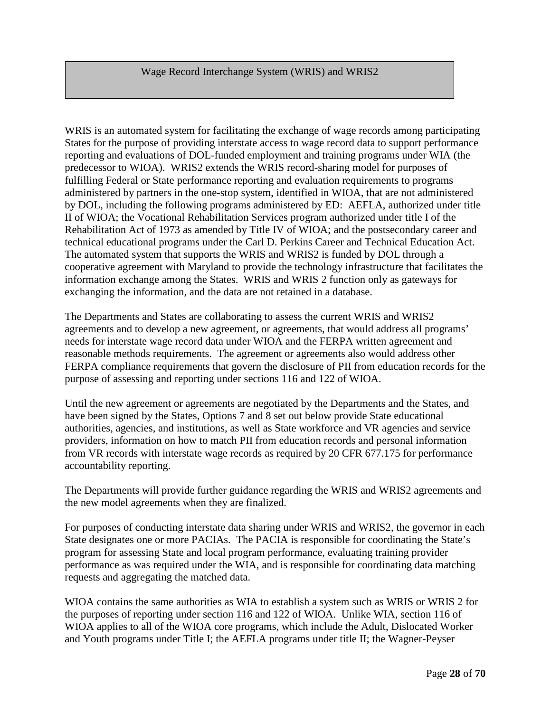### Wage Record Interchange System (WRIS) and WRIS2

WRIS is an automated system for facilitating the exchange of wage records among participating States for the purpose of providing interstate access to wage record data to support performance reporting and evaluations of DOL-funded employment and training programs under WIA (the predecessor to WIOA). WRIS2 extends the WRIS record-sharing model for purposes of fulfilling Federal or State performance reporting and evaluation requirements to programs administered by partners in the one-stop system, identified in WIOA, that are not administered by DOL, including the following programs administered by ED: AEFLA, authorized under title II of WIOA; the Vocational Rehabilitation Services program authorized under title I of the Rehabilitation Act of 1973 as amended by Title IV of WIOA; and the postsecondary career and technical educational programs under the Carl D. Perkins Career and Technical Education Act. The automated system that supports the WRIS and WRIS2 is funded by DOL through a cooperative agreement with Maryland to provide the technology infrastructure that facilitates the information exchange among the States. WRIS and WRIS 2 function only as gateways for exchanging the information, and the data are not retained in a database.

The Departments and States are collaborating to assess the current WRIS and WRIS2 agreements and to develop a new agreement, or agreements, that would address all programs' needs for interstate wage record data under WIOA and the FERPA written agreement and reasonable methods requirements. The agreement or agreements also would address other FERPA compliance requirements that govern the disclosure of PII from education records for the purpose of assessing and reporting under sections 116 and 122 of WIOA.

Until the new agreement or agreements are negotiated by the Departments and the States, and have been signed by the States, Options 7 and 8 set out below provide State educational authorities, agencies, and institutions, as well as State workforce and VR agencies and service providers, information on how to match PII from education records and personal information from VR records with interstate wage records as required by 20 CFR 677.175 for performance accountability reporting.

The Departments will provide further guidance regarding the WRIS and WRIS2 agreements and the new model agreements when they are finalized.

For purposes of conducting interstate data sharing under WRIS and WRIS2, the governor in each State designates one or more PACIAs. The PACIA is responsible for coordinating the State's program for assessing State and local program performance, evaluating training provider performance as was required under the WIA, and is responsible for coordinating data matching requests and aggregating the matched data.

WIOA contains the same authorities as WIA to establish a system such as WRIS or WRIS 2 for the purposes of reporting under section 116 and 122 of WIOA. Unlike WIA, section 116 of WIOA applies to all of the WIOA core programs, which include the Adult, Dislocated Worker and Youth programs under Title I; the AEFLA programs under title II; the Wagner-Peyser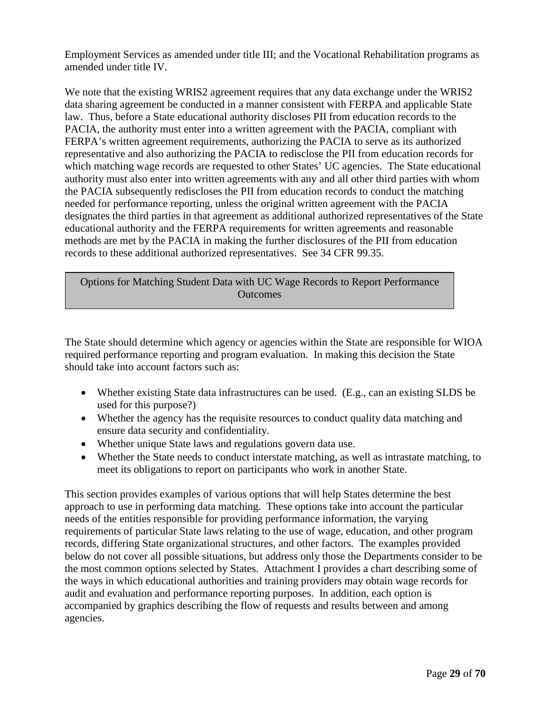Employment Services as amended under title III; and the Vocational Rehabilitation programs as amended under title IV.

We note that the existing WRIS2 agreement requires that any data exchange under the WRIS2 data sharing agreement be conducted in a manner consistent with FERPA and applicable State law. Thus, before a State educational authority discloses PII from education records to the PACIA, the authority must enter into a written agreement with the PACIA, compliant with FERPA's written agreement requirements, authorizing the PACIA to serve as its authorized representative and also authorizing the PACIA to redisclose the PII from education records for which matching wage records are requested to other States' UC agencies. The State educational authority must also enter into written agreements with any and all other third parties with whom the PACIA subsequently rediscloses the PII from education records to conduct the matching needed for performance reporting, unless the original written agreement with the PACIA designates the third parties in that agreement as additional authorized representatives of the State educational authority and the FERPA requirements for written agreements and reasonable methods are met by the PACIA in making the further disclosures of the PII from education records to these additional authorized representatives. See 34 CFR 99.35.

Options for Matching Student Data with UC Wage Records to Report Performance **Outcomes** 

The State should determine which agency or agencies within the State are responsible for WIOA required performance reporting and program evaluation. In making this decision the State should take into account factors such as:

- Whether existing State data infrastructures can be used. (E.g., can an existing SLDS be used for this purpose?)
- Whether the agency has the requisite resources to conduct quality data matching and ensure data security and confidentiality.
- Whether unique State laws and regulations govern data use.
- Whether the State needs to conduct interstate matching, as well as intrastate matching, to meet its obligations to report on participants who work in another State.

This section provides examples of various options that will help States determine the best approach to use in performing data matching. These options take into account the particular needs of the entities responsible for providing performance information, the varying requirements of particular State laws relating to the use of wage, education, and other program records, differing State organizational structures, and other factors. The examples provided below do not cover all possible situations, but address only those the Departments consider to be the most common options selected by States. Attachment I provides a chart describing some of the ways in which educational authorities and training providers may obtain wage records for audit and evaluation and performance reporting purposes. In addition, each option is accompanied by graphics describing the flow of requests and results between and among agencies.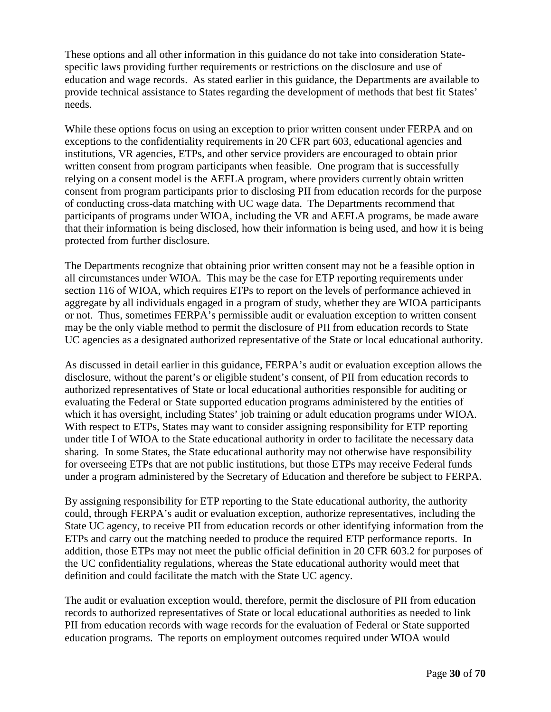These options and all other information in this guidance do not take into consideration Statespecific laws providing further requirements or restrictions on the disclosure and use of education and wage records. As stated earlier in this guidance, the Departments are available to provide technical assistance to States regarding the development of methods that best fit States' needs.

While these options focus on using an exception to prior written consent under FERPA and on exceptions to the confidentiality requirements in 20 CFR part 603, educational agencies and institutions, VR agencies, ETPs, and other service providers are encouraged to obtain prior written consent from program participants when feasible. One program that is successfully relying on a consent model is the AEFLA program, where providers currently obtain written consent from program participants prior to disclosing PII from education records for the purpose of conducting cross-data matching with UC wage data. The Departments recommend that participants of programs under WIOA, including the VR and AEFLA programs, be made aware that their information is being disclosed, how their information is being used, and how it is being protected from further disclosure.

The Departments recognize that obtaining prior written consent may not be a feasible option in all circumstances under WIOA. This may be the case for ETP reporting requirements under section 116 of WIOA, which requires ETPs to report on the levels of performance achieved in aggregate by all individuals engaged in a program of study, whether they are WIOA participants or not. Thus, sometimes FERPA's permissible audit or evaluation exception to written consent may be the only viable method to permit the disclosure of PII from education records to State UC agencies as a designated authorized representative of the State or local educational authority.

As discussed in detail earlier in this guidance, FERPA's audit or evaluation exception allows the disclosure, without the parent's or eligible student's consent, of PII from education records to authorized representatives of State or local educational authorities responsible for auditing or evaluating the Federal or State supported education programs administered by the entities of which it has oversight, including States' job training or adult education programs under WIOA. With respect to ETPs, States may want to consider assigning responsibility for ETP reporting under title I of WIOA to the State educational authority in order to facilitate the necessary data sharing. In some States, the State educational authority may not otherwise have responsibility for overseeing ETPs that are not public institutions, but those ETPs may receive Federal funds under a program administered by the Secretary of Education and therefore be subject to FERPA.

By assigning responsibility for ETP reporting to the State educational authority, the authority could, through FERPA's audit or evaluation exception, authorize representatives, including the State UC agency, to receive PII from education records or other identifying information from the ETPs and carry out the matching needed to produce the required ETP performance reports. In addition, those ETPs may not meet the public official definition in 20 CFR 603.2 for purposes of the UC confidentiality regulations, whereas the State educational authority would meet that definition and could facilitate the match with the State UC agency.

The audit or evaluation exception would, therefore, permit the disclosure of PII from education records to authorized representatives of State or local educational authorities as needed to link PII from education records with wage records for the evaluation of Federal or State supported education programs. The reports on employment outcomes required under WIOA would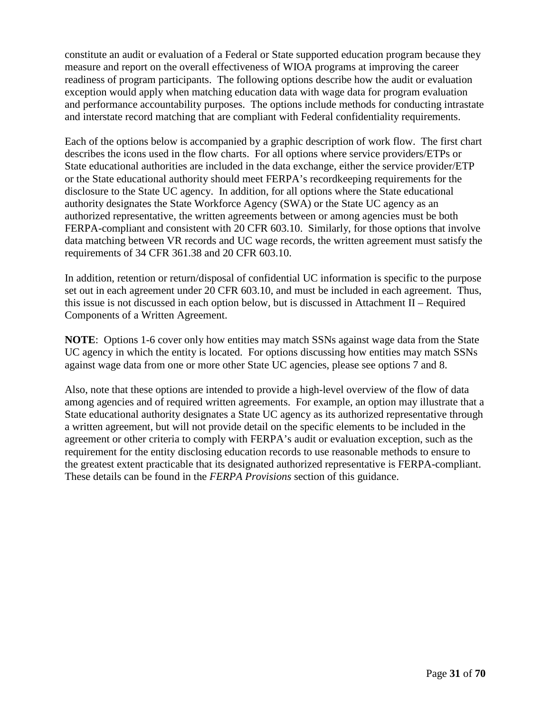constitute an audit or evaluation of a Federal or State supported education program because they measure and report on the overall effectiveness of WIOA programs at improving the career readiness of program participants. The following options describe how the audit or evaluation exception would apply when matching education data with wage data for program evaluation and performance accountability purposes. The options include methods for conducting intrastate and interstate record matching that are compliant with Federal confidentiality requirements.

Each of the options below is accompanied by a graphic description of work flow. The first chart describes the icons used in the flow charts. For all options where service providers/ETPs or State educational authorities are included in the data exchange, either the service provider/ETP or the State educational authority should meet FERPA's recordkeeping requirements for the disclosure to the State UC agency. In addition, for all options where the State educational authority designates the State Workforce Agency (SWA) or the State UC agency as an authorized representative, the written agreements between or among agencies must be both FERPA-compliant and consistent with 20 CFR 603.10. Similarly, for those options that involve data matching between VR records and UC wage records, the written agreement must satisfy the requirements of 34 CFR 361.38 and 20 CFR 603.10.

In addition, retention or return/disposal of confidential UC information is specific to the purpose set out in each agreement under 20 CFR 603.10, and must be included in each agreement. Thus, this issue is not discussed in each option below, but is discussed in Attachment II – Required Components of a Written Agreement.

**NOTE**: Options 1-6 cover only how entities may match SSNs against wage data from the State UC agency in which the entity is located. For options discussing how entities may match SSNs against wage data from one or more other State UC agencies, please see options 7 and 8.

Also, note that these options are intended to provide a high-level overview of the flow of data among agencies and of required written agreements. For example, an option may illustrate that a State educational authority designates a State UC agency as its authorized representative through a written agreement, but will not provide detail on the specific elements to be included in the agreement or other criteria to comply with FERPA's audit or evaluation exception, such as the requirement for the entity disclosing education records to use reasonable methods to ensure to the greatest extent practicable that its designated authorized representative is FERPA-compliant. These details can be found in the *FERPA Provisions* section of this guidance.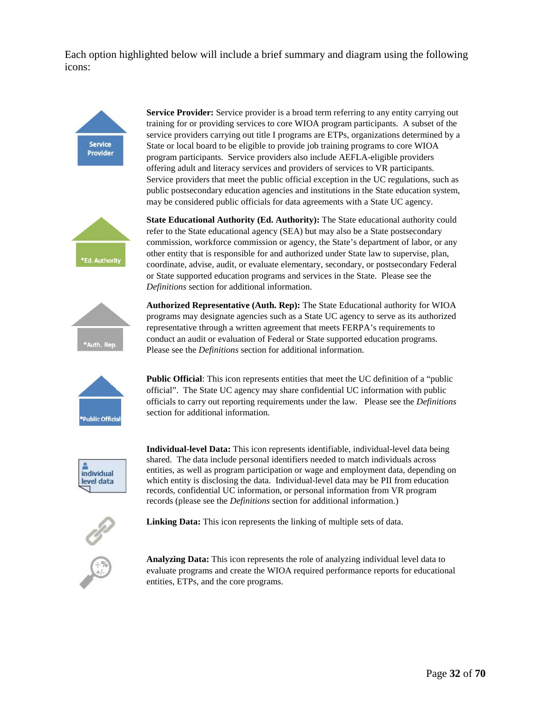Each option highlighted below will include a brief summary and diagram using the following icons:



**Service Provider:** Service provider is a broad term referring to any entity carrying out training for or providing services to core WIOA program participants. A subset of the service providers carrying out title I programs are ETPs, organizations determined by a State or local board to be eligible to provide job training programs to core WIOA program participants. Service providers also include AEFLA-eligible providers offering adult and literacy services and providers of services to VR participants. Service providers that meet the public official exception in the UC regulations, such as public postsecondary education agencies and institutions in the State education system, may be considered public officials for data agreements with a State UC agency.



**State Educational Authority (Ed. Authority):** The State educational authority could refer to the State educational agency (SEA) but may also be a State postsecondary commission, workforce commission or agency, the State's department of labor, or any other entity that is responsible for and authorized under State law to supervise, plan, coordinate, advise, audit, or evaluate elementary, secondary, or postsecondary Federal or State supported education programs and services in the State. Please see the *Definitions* section for additional information.



**Authorized Representative (Auth. Rep):** The State Educational authority for WIOA programs may designate agencies such as a State UC agency to serve as its authorized representative through a written agreement that meets FERPA's requirements to conduct an audit or evaluation of Federal or State supported education programs. Please see the *Definitions* section for additional information.



**Public Official**: This icon represents entities that meet the UC definition of a "public official". The State UC agency may share confidential UC information with public officials to carry out reporting requirements under the law. Please see the *Definitions* section for additional information.



**Individual-level Data:** This icon represents identifiable, individual-level data being shared. The data include personal identifiers needed to match individuals across entities, as well as program participation or wage and employment data, depending on which entity is disclosing the data. Individual-level data may be PII from education records, confidential UC information, or personal information from VR program records (please see the *Definitions* section for additional information.)



**Linking Data:** This icon represents the linking of multiple sets of data.



**Analyzing Data:** This icon represents the role of analyzing individual level data to evaluate programs and create the WIOA required performance reports for educational entities, ETPs, and the core programs.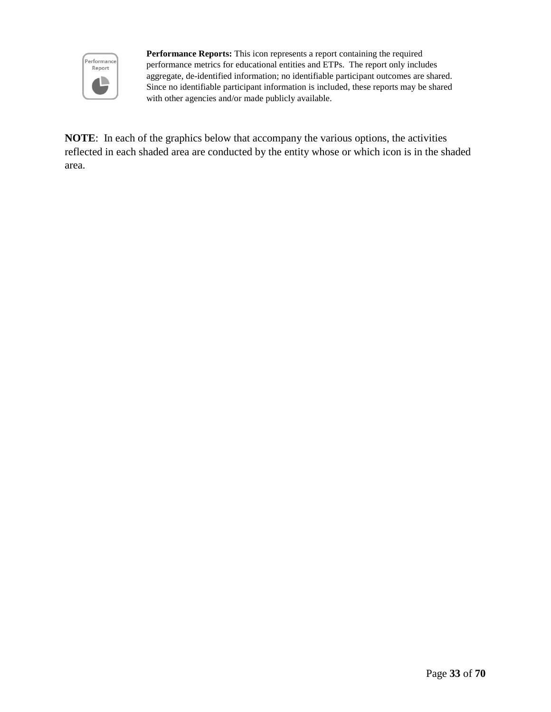

**Performance Reports:** This icon represents a report containing the required performance metrics for educational entities and ETPs. The report only includes aggregate, de-identified information; no identifiable participant outcomes are shared. Since no identifiable participant information is included, these reports may be shared with other agencies and/or made publicly available.

**NOTE**: In each of the graphics below that accompany the various options, the activities reflected in each shaded area are conducted by the entity whose or which icon is in the shaded area.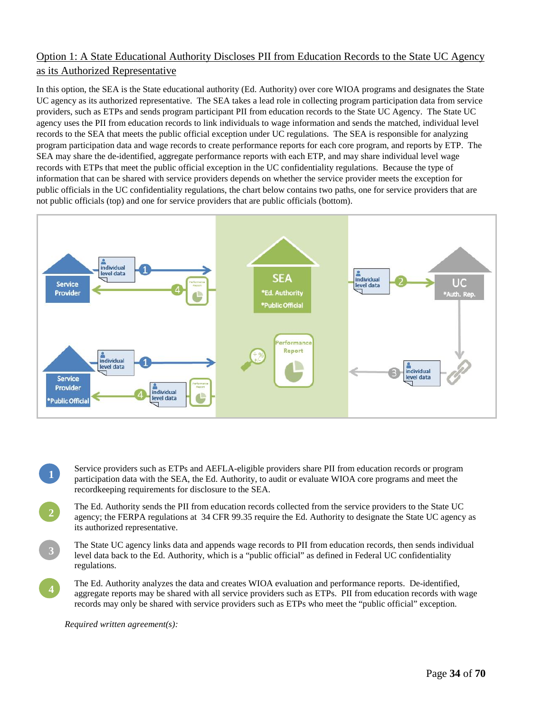## Option 1: A State Educational Authority Discloses PII from Education Records to the State UC Agency as its Authorized Representative

In this option, the SEA is the State educational authority (Ed. Authority) over core WIOA programs and designates the State UC agency as its authorized representative. The SEA takes a lead role in collecting program participation data from service providers, such as ETPs and sends program participant PII from education records to the State UC Agency. The State UC agency uses the PII from education records to link individuals to wage information and sends the matched, individual level records to the SEA that meets the public official exception under UC regulations. The SEA is responsible for analyzing program participation data and wage records to create performance reports for each core program, and reports by ETP. The SEA may share the de-identified, aggregate performance reports with each ETP, and may share individual level wage records with ETPs that meet the public official exception in the UC confidentiality regulations. Because the type of information that can be shared with service providers depends on whether the service provider meets the exception for public officials in the UC confidentiality regulations, the chart below contains two paths, one for service providers that are not public officials (top) and one for service providers that are public officials (bottom).



- **1**  Service providers such as ETPs and AEFLA-eligible providers share PII from education records or program participation data with the SEA, the Ed. Authority, to audit or evaluate WIOA core programs and meet the recordkeeping requirements for disclosure to the SEA.
- **2**  The Ed. Authority sends the PII from education records collected from the service providers to the State UC agency; the FERPA regulations at 34 CFR 99.35 require the Ed. Authority to designate the State UC agency as its authorized representative.
	- The State UC agency links data and appends wage records to PII from education records, then sends individual level data back to the Ed. Authority, which is a "public official" as defined in Federal UC confidentiality regulations.
- **4**  The Ed. Authority analyzes the data and creates WIOA evaluation and performance reports. De-identified, aggregate reports may be shared with all service providers such as ETPs. PII from education records with wage records may only be shared with service providers such as ETPs who meet the "public official" exception.

*Required written agreement(s):*

**3**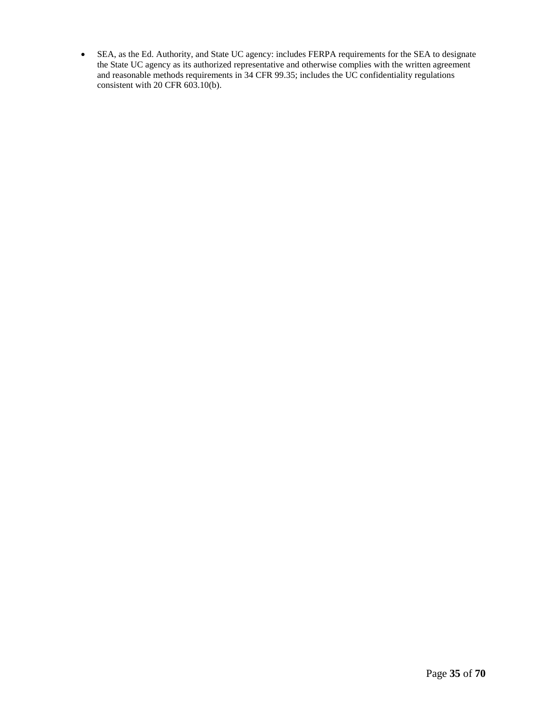• SEA, as the Ed. Authority, and State UC agency: includes FERPA requirements for the SEA to designate the State UC agency as its authorized representative and otherwise complies with the written agreement and reasonable methods requirements in 34 CFR 99.35; includes the UC confidentiality regulations consistent with 20 CFR 603.10(b).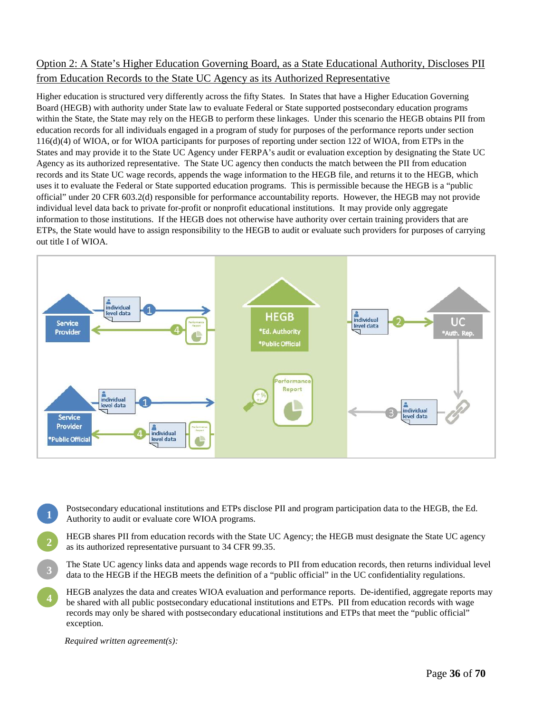## Option 2: A State's Higher Education Governing Board, as a State Educational Authority, Discloses PII from Education Records to the State UC Agency as its Authorized Representative

Higher education is structured very differently across the fifty States. In States that have a Higher Education Governing Board (HEGB) with authority under State law to evaluate Federal or State supported postsecondary education programs within the State, the State may rely on the HEGB to perform these linkages. Under this scenario the HEGB obtains PII from education records for all individuals engaged in a program of study for purposes of the performance reports under section 116(d)(4) of WIOA, or for WIOA participants for purposes of reporting under section 122 of WIOA, from ETPs in the States and may provide it to the State UC Agency under FERPA's audit or evaluation exception by designating the State UC Agency as its authorized representative. The State UC agency then conducts the match between the PII from education records and its State UC wage records, appends the wage information to the HEGB file, and returns it to the HEGB, which uses it to evaluate the Federal or State supported education programs. This is permissible because the HEGB is a "public official" under 20 CFR 603.2(d) responsible for performance accountability reports. However, the HEGB may not provide individual level data back to private for-profit or nonprofit educational institutions. It may provide only aggregate information to those institutions. If the HEGB does not otherwise have authority over certain training providers that are ETPs, the State would have to assign responsibility to the HEGB to audit or evaluate such providers for purposes of carrying out title I of WIOA.



- **1**  Postsecondary educational institutions and ETPs disclose PII and program participation data to the HEGB, the Ed. Authority to audit or evaluate core WIOA programs.
- **2**  HEGB shares PII from education records with the State UC Agency; the HEGB must designate the State UC agency as its authorized representative pursuant to 34 CFR 99.35.
- **3**  The State UC agency links data and appends wage records to PII from education records, then returns individual level data to the HEGB if the HEGB meets the definition of a "public official" in the UC confidentiality regulations.
- **4**  HEGB analyzes the data and creates WIOA evaluation and performance reports. De-identified, aggregate reports may be shared with all public postsecondary educational institutions and ETPs. PII from education records with wage records may only be shared with postsecondary educational institutions and ETPs that meet the "public official" exception.

*Required written agreement(s):*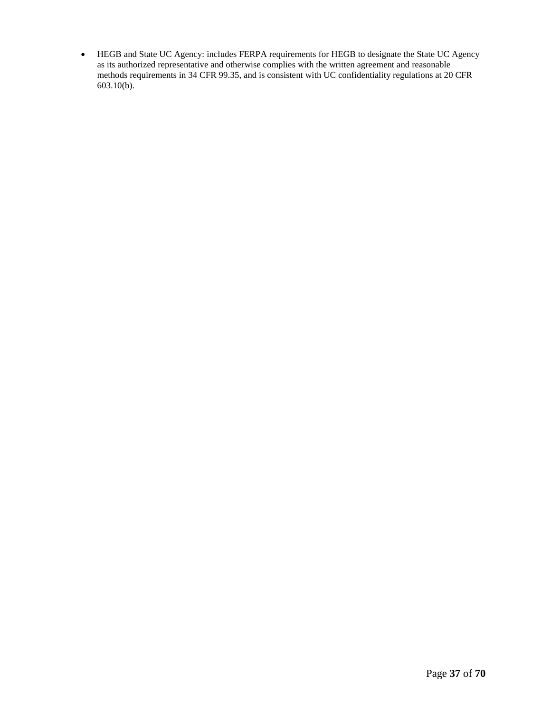• HEGB and State UC Agency: includes FERPA requirements for HEGB to designate the State UC Agency as its authorized representative and otherwise complies with the written agreement and reasonable methods requirements in 34 CFR 99.35, and is consistent with UC confidentiality regulations at 20 CFR 603.10(b).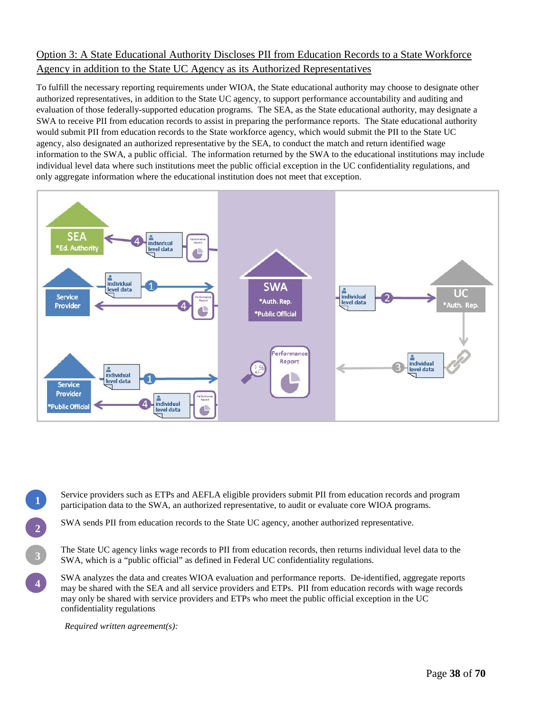## Option 3: A State Educational Authority Discloses PII from Education Records to a State Workforce Agency in addition to the State UC Agency as its Authorized Representatives

To fulfill the necessary reporting requirements under WIOA, the State educational authority may choose to designate other authorized representatives, in addition to the State UC agency, to support performance accountability and auditing and evaluation of those federally-supported education programs. The SEA, as the State educational authority, may designate a SWA to receive PII from education records to assist in preparing the performance reports. The State educational authority would submit PII from education records to the State workforce agency, which would submit the PII to the State UC agency, also designated an authorized representative by the SEA, to conduct the match and return identified wage information to the SWA, a public official. The information returned by the SWA to the educational institutions may include individual level data where such institutions meet the public official exception in the UC confidentiality regulations, and only aggregate information where the educational institution does not meet that exception.



Service providers such as ETPs and AEFLA eligible providers submit PII from education records and program participation data to the SWA, an authorized representative, to audit or evaluate core WIOA programs.

SWA sends PII from education records to the State UC agency, another authorized representative.

The State UC agency links wage records to PII from education records, then returns individual level data to the SWA, which is a "public official" as defined in Federal UC confidentiality regulations.

SWA analyzes the data and creates WIOA evaluation and performance reports. De-identified, aggregate reports may be shared with the SEA and all service providers and ETPs. PII from education records with wage records may only be shared with service providers and ETPs who meet the public official exception in the UC confidentiality regulations

*Required written agreement(s):*

**2** 

**1** 

**3** 

**4**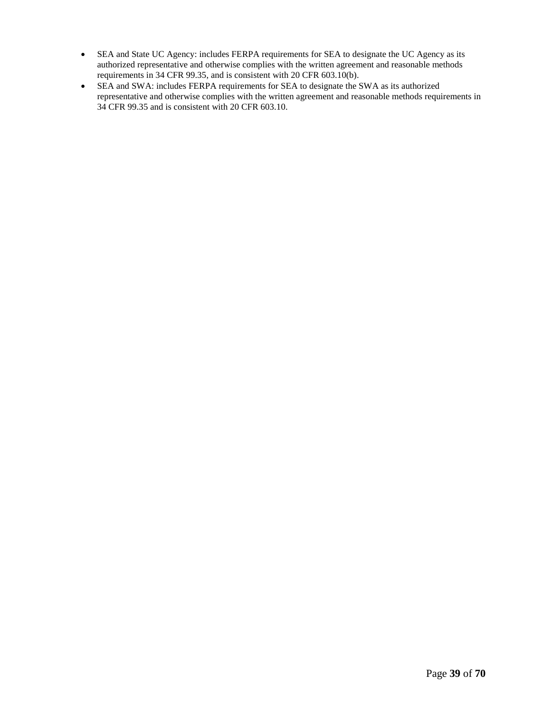- SEA and State UC Agency: includes FERPA requirements for SEA to designate the UC Agency as its authorized representative and otherwise complies with the written agreement and reasonable methods requirements in 34 CFR 99.35, and is consistent with 20 CFR 603.10(b).
- SEA and SWA: includes FERPA requirements for SEA to designate the SWA as its authorized representative and otherwise complies with the written agreement and reasonable methods requirements in 34 CFR 99.35 and is consistent with 20 CFR 603.10.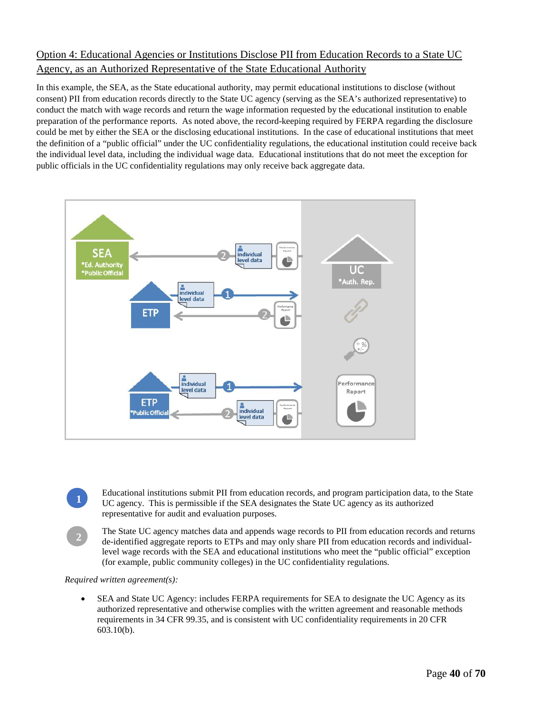## Option 4: Educational Agencies or Institutions Disclose PII from Education Records to a State UC Agency, as an Authorized Representative of the State Educational Authority

In this example, the SEA, as the State educational authority, may permit educational institutions to disclose (without consent) PII from education records directly to the State UC agency (serving as the SEA's authorized representative) to conduct the match with wage records and return the wage information requested by the educational institution to enable preparation of the performance reports. As noted above, the record-keeping required by FERPA regarding the disclosure could be met by either the SEA or the disclosing educational institutions. In the case of educational institutions that meet the definition of a "public official" under the UC confidentiality regulations, the educational institution could receive back the individual level data, including the individual wage data. Educational institutions that do not meet the exception for public officials in the UC confidentiality regulations may only receive back aggregate data.



Educational institutions submit PII from education records, and program participation data, to the State UC agency. This is permissible if the SEA designates the State UC agency as its authorized representative for audit and evaluation purposes.

The State UC agency matches data and appends wage records to PII from education records and returns de-identified aggregate reports to ETPs and may only share PII from education records and individuallevel wage records with the SEA and educational institutions who meet the "public official" exception (for example, public community colleges) in the UC confidentiality regulations.

*Required written agreement(s):*

**1** 

**2** 

• SEA and State UC Agency: includes FERPA requirements for SEA to designate the UC Agency as its authorized representative and otherwise complies with the written agreement and reasonable methods requirements in 34 CFR 99.35, and is consistent with UC confidentiality requirements in 20 CFR 603.10(b).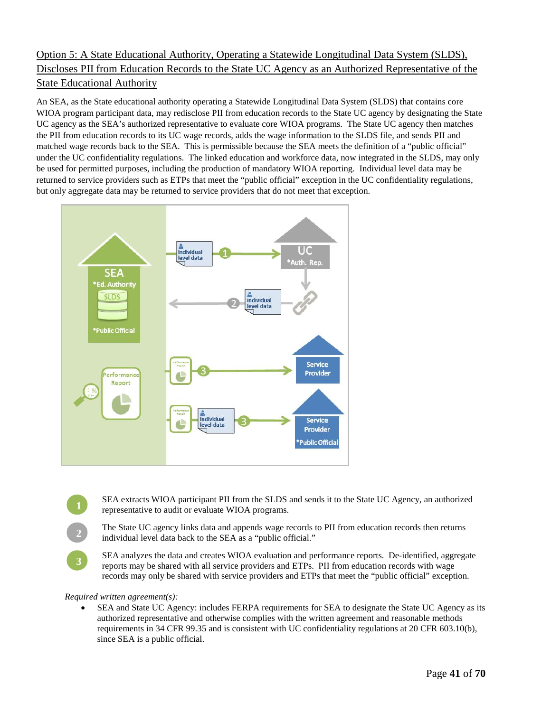## Option 5: A State Educational Authority, Operating a Statewide Longitudinal Data System (SLDS), Discloses PII from Education Records to the State UC Agency as an Authorized Representative of the State Educational Authority

An SEA, as the State educational authority operating a Statewide Longitudinal Data System (SLDS) that contains core WIOA program participant data, may redisclose PII from education records to the State UC agency by designating the State UC agency as the SEA's authorized representative to evaluate core WIOA programs. The State UC agency then matches the PII from education records to its UC wage records, adds the wage information to the SLDS file, and sends PII and matched wage records back to the SEA. This is permissible because the SEA meets the definition of a "public official" under the UC confidentiality regulations. The linked education and workforce data, now integrated in the SLDS, may only be used for permitted purposes, including the production of mandatory WIOA reporting. Individual level data may be returned to service providers such as ETPs that meet the "public official" exception in the UC confidentiality regulations, but only aggregate data may be returned to service providers that do not meet that exception.



SEA extracts WIOA participant PII from the SLDS and sends it to the State UC Agency, an authorized representative to audit or evaluate WIOA programs.

The State UC agency links data and appends wage records to PII from education records then returns individual level data back to the SEA as a "public official."

SEA analyzes the data and creates WIOA evaluation and performance reports. De-identified, aggregate reports may be shared with all service providers and ETPs. PII from education records with wage records may only be shared with service providers and ETPs that meet the "public official" exception.

#### *Required written agreement(s):*

**2** 

**3** 

• SEA and State UC Agency: includes FERPA requirements for SEA to designate the State UC Agency as its authorized representative and otherwise complies with the written agreement and reasonable methods requirements in 34 CFR 99.35 and is consistent with UC confidentiality regulations at 20 CFR 603.10(b), since SEA is a public official.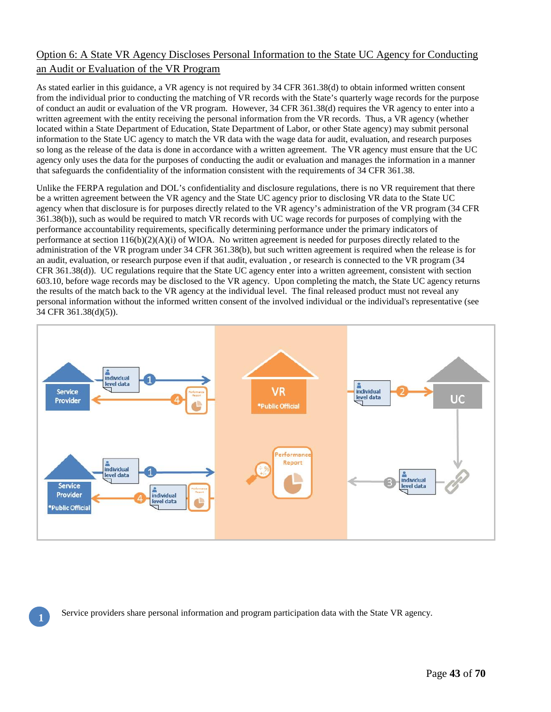## Option 6: A State VR Agency Discloses Personal Information to the State UC Agency for Conducting an Audit or Evaluation of the VR Program

As stated earlier in this guidance, a VR agency is not required by 34 CFR 361.38(d) to obtain informed written consent from the individual prior to conducting the matching of VR records with the State's quarterly wage records for the purpose of conduct an audit or evaluation of the VR program. However, 34 CFR 361.38(d) requires the VR agency to enter into a written agreement with the entity receiving the personal information from the VR records. Thus, a VR agency (whether located within a State Department of Education, State Department of Labor, or other State agency) may submit personal information to the State UC agency to match the VR data with the wage data for audit, evaluation, and research purposes so long as the release of the data is done in accordance with a written agreement. The VR agency must ensure that the UC agency only uses the data for the purposes of conducting the audit or evaluation and manages the information in a manner that safeguards the confidentiality of the information consistent with the requirements of 34 CFR 361.38.

Unlike the FERPA regulation and DOL's confidentiality and disclosure regulations, there is no VR requirement that there be a written agreement between the VR agency and the State UC agency prior to disclosing VR data to the State UC agency when that disclosure is for purposes directly related to the VR agency's administration of the VR program (34 CFR 361.38(b)), such as would be required to match VR records with UC wage records for purposes of complying with the performance accountability requirements, specifically determining performance under the primary indicators of performance at section  $116(b)(2)(A)(i)$  of WIOA. No written agreement is needed for purposes directly related to the administration of the VR program under 34 CFR 361.38(b), but such written agreement is required when the release is for an audit, evaluation, or research purpose even if that audit, evaluation , or research is connected to the VR program (34 CFR 361.38(d)). UC regulations require that the State UC agency enter into a written agreement, consistent with section 603.10, before wage records may be disclosed to the VR agency. Upon completing the match, the State UC agency returns the results of the match back to the VR agency at the individual level. The final released product must not reveal any personal information without the informed written consent of the involved individual or the individual's representative (see 34 CFR 361.38(d)(5)).



**1**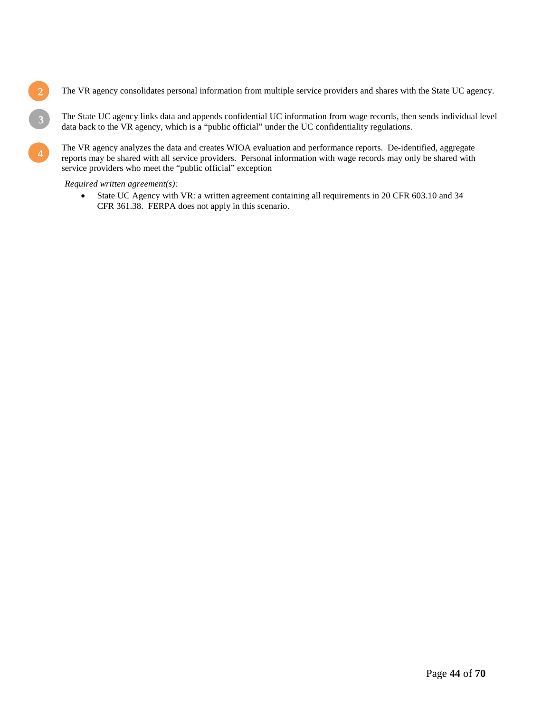**2 The VR** agency consolidates personal information from multiple service providers and shares with the State UC agency.

The State UC agency links data and appends confidential UC information from wage records, then sends individual level data back to the VR agency, which is a "public official" under the UC confidentiality regulations.

**4**The VR agency analyzes the data and creates WIOA evaluation and performance reports. De-identified, aggregate reports may be shared with all service providers. Personal information with wage records may only be shared w reports may be shared with all service providers. Personal information with wage records may only be shared with service providers who meet the "public official" exception

#### *Required written agreement(s):*

**3** 

• State UC Agency with VR: a written agreement containing all requirements in 20 CFR 603.10 and 34 CFR 361.38. FERPA does not apply in this scenario.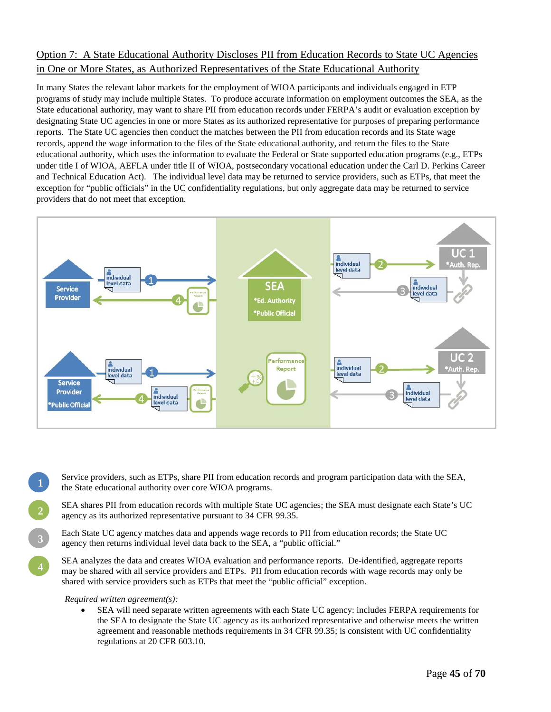## Option 7: A State Educational Authority Discloses PII from Education Records to State UC Agencies in One or More States, as Authorized Representatives of the State Educational Authority

In many States the relevant labor markets for the employment of WIOA participants and individuals engaged in ETP programs of study may include multiple States. To produce accurate information on employment outcomes the SEA, as the State educational authority, may want to share PII from education records under FERPA's audit or evaluation exception by designating State UC agencies in one or more States as its authorized representative for purposes of preparing performance reports. The State UC agencies then conduct the matches between the PII from education records and its State wage records, append the wage information to the files of the State educational authority, and return the files to the State educational authority, which uses the information to evaluate the Federal or State supported education programs (e.g., ETPs under title I of WIOA, AEFLA under title II of WIOA, postsecondary vocational education under the Carl D. Perkins Career and Technical Education Act). The individual level data may be returned to service providers, such as ETPs, that meet the exception for "public officials" in the UC confidentiality regulations, but only aggregate data may be returned to service providers that do not meet that exception.



- Service providers, such as ETPs, share PII from education records and program participation data with the SEA, the State educational authority over core WIOA programs.
- SEA shares PII from education records with multiple State UC agencies; the SEA must designate each State's UC agency as its authorized representative pursuant to 34 CFR 99.35.
- Each State UC agency matches data and appends wage records to PII from education records; the State UC agency then returns individual level data back to the SEA, a "public official."
- SEA analyzes the data and creates WIOA evaluation and performance reports. De-identified, aggregate reports may be shared with all service providers and ETPs. PII from education records with wage records may only be shared with service providers such as ETPs that meet the "public official" exception.

#### *Required written agreement(s):*

**1** 

**2** 

**3** 

• SEA will need separate written agreements with each State UC agency: includes FERPA requirements for the SEA to designate the State UC agency as its authorized representative and otherwise meets the written agreement and reasonable methods requirements in 34 CFR 99.35; is consistent with UC confidentiality regulations at 20 CFR 603.10.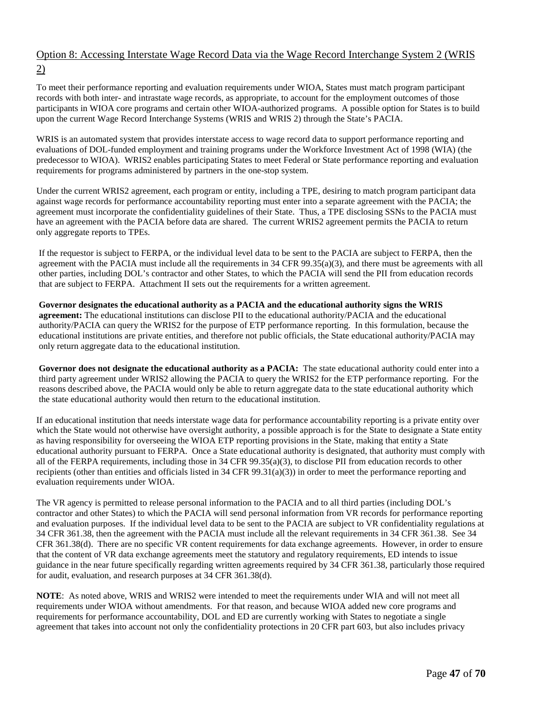## Option 8: Accessing Interstate Wage Record Data via the Wage Record Interchange System 2 (WRIS 2)

To meet their performance reporting and evaluation requirements under WIOA, States must match program participant records with both inter- and intrastate wage records, as appropriate, to account for the employment outcomes of those participants in WIOA core programs and certain other WIOA-authorized programs. A possible option for States is to build upon the current Wage Record Interchange Systems (WRIS and WRIS 2) through the State's PACIA.

WRIS is an automated system that provides interstate access to wage record data to support performance reporting and evaluations of DOL-funded employment and training programs under the Workforce Investment Act of 1998 (WIA) (the predecessor to WIOA). WRIS2 enables participating States to meet Federal or State performance reporting and evaluation requirements for programs administered by partners in the one-stop system.

Under the current WRIS2 agreement, each program or entity, including a TPE, desiring to match program participant data against wage records for performance accountability reporting must enter into a separate agreement with the PACIA; the agreement must incorporate the confidentiality guidelines of their State. Thus, a TPE disclosing SSNs to the PACIA must have an agreement with the PACIA before data are shared. The current WRIS2 agreement permits the PACIA to return only aggregate reports to TPEs.

If the requestor is subject to FERPA, or the individual level data to be sent to the PACIA are subject to FERPA, then the agreement with the PACIA must include all the requirements in 34 CFR 99.35(a)(3), and there must be agreements with all other parties, including DOL's contractor and other States, to which the PACIA will send the PII from education records that are subject to FERPA. Attachment II sets out the requirements for a written agreement.

**Governor designates the educational authority as a PACIA and the educational authority signs the WRIS agreement:** The educational institutions can disclose PII to the educational authority/PACIA and the educational authority/PACIA can query the WRIS2 for the purpose of ETP performance reporting. In this formulation, because the educational institutions are private entities, and therefore not public officials, the State educational authority/PACIA may only return aggregate data to the educational institution.

**Governor does not designate the educational authority as a PACIA:** The state educational authority could enter into a third party agreement under WRIS2 allowing the PACIA to query the WRIS2 for the ETP performance reporting. For the reasons described above, the PACIA would only be able to return aggregate data to the state educational authority which the state educational authority would then return to the educational institution.

If an educational institution that needs interstate wage data for performance accountability reporting is a private entity over which the State would not otherwise have oversight authority, a possible approach is for the State to designate a State entity as having responsibility for overseeing the WIOA ETP reporting provisions in the State, making that entity a State educational authority pursuant to FERPA. Once a State educational authority is designated, that authority must comply with all of the FERPA requirements, including those in 34 CFR 99.35(a)(3), to disclose PII from education records to other recipients (other than entities and officials listed in  $34$  CFR  $99.31(a)(3)$ ) in order to meet the performance reporting and evaluation requirements under WIOA.

The VR agency is permitted to release personal information to the PACIA and to all third parties (including DOL's contractor and other States) to which the PACIA will send personal information from VR records for performance reporting and evaluation purposes. If the individual level data to be sent to the PACIA are subject to VR confidentiality regulations at 34 CFR 361.38, then the agreement with the PACIA must include all the relevant requirements in 34 CFR 361.38. See 34 CFR 361.38(d). There are no specific VR content requirements for data exchange agreements. However, in order to ensure that the content of VR data exchange agreements meet the statutory and regulatory requirements, ED intends to issue guidance in the near future specifically regarding written agreements required by 34 CFR 361.38, particularly those required for audit, evaluation, and research purposes at 34 CFR 361.38(d).

**NOTE**: As noted above, WRIS and WRIS2 were intended to meet the requirements under WIA and will not meet all requirements under WIOA without amendments. For that reason, and because WIOA added new core programs and requirements for performance accountability, DOL and ED are currently working with States to negotiate a single agreement that takes into account not only the confidentiality protections in 20 CFR part 603, but also includes privacy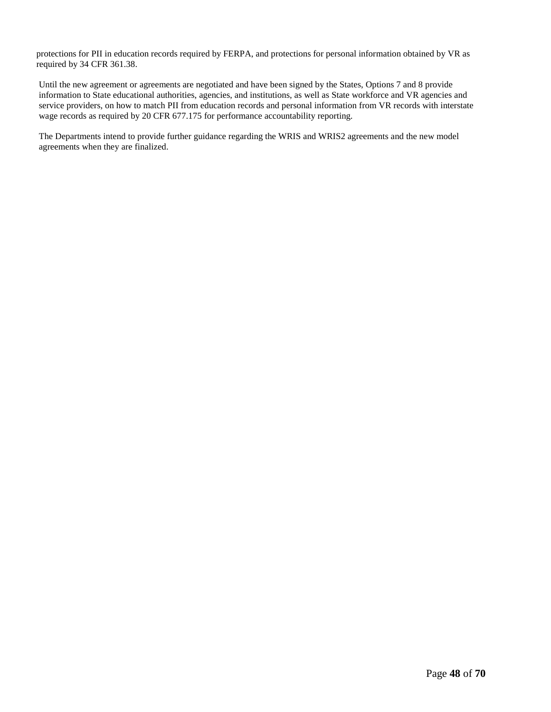protections for PII in education records required by FERPA, and protections for personal information obtained by VR as required by 34 CFR 361.38.

Until the new agreement or agreements are negotiated and have been signed by the States, Options 7 and 8 provide information to State educational authorities, agencies, and institutions, as well as State workforce and VR agencies and service providers, on how to match PII from education records and personal information from VR records with interstate wage records as required by 20 CFR 677.175 for performance accountability reporting.

The Departments intend to provide further guidance regarding the WRIS and WRIS2 agreements and the new model agreements when they are finalized.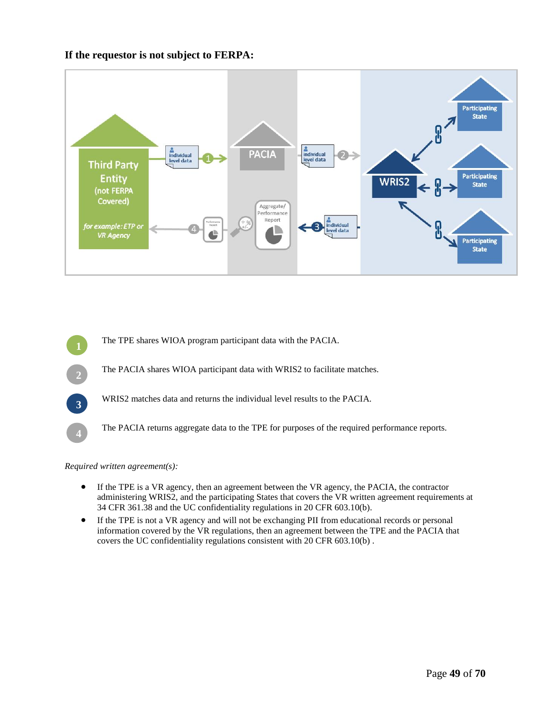### **If the requestor is not subject to FERPA:**



The TPE shares WIOA program participant data with the PACIA. The PACIA shares WIOA participant data with WRIS2 to facilitate matches. WRIS2 matches data and returns the individual level results to the PACIA. The PACIA returns aggregate data to the TPE for purposes of the required performance reports.

*Required written agreement(s):*

- If the TPE is a VR agency, then an agreement between the VR agency, the PACIA, the contractor administering WRIS2, and the participating States that covers the VR written agreement requirements at 34 CFR 361.38 and the UC confidentiality regulations in 20 CFR 603.10(b).
- If the TPE is not a VR agency and will not be exchanging PII from educational records or personal information covered by the VR regulations, then an agreement between the TPE and the PACIA that covers the UC confidentiality regulations consistent with 20 CFR 603.10(b) .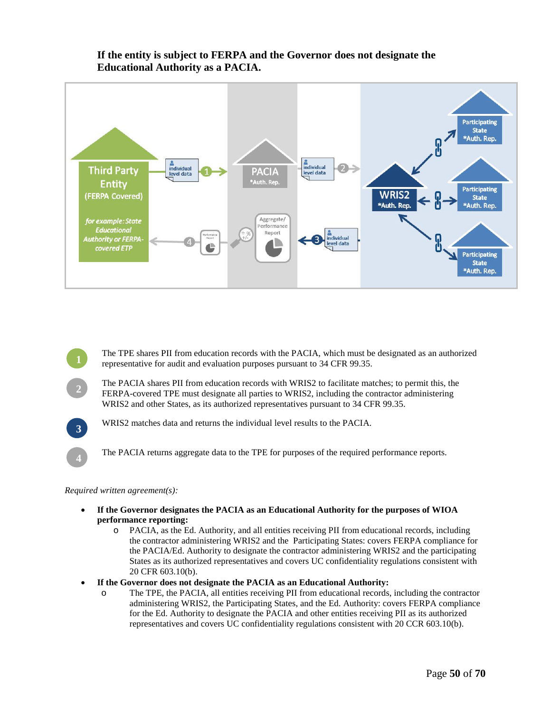

### **If the entity is subject to FERPA and the Governor does not designate the Educational Authority as a PACIA.**

**<sup>1</sup>**The TPE shares PII from education records with the PACIA, which must be designated as an authorized representative for audit and evaluation purposes pursuant to 34 CFR 99.35.

**<sup>2</sup>**The PACIA shares PII from education records with WRIS2 to facilitate matches; to permit this, the FERPA-covered TPE must designate all parties to WRIS2, including the contractor administering WRIS2 and other States, as its authorized representatives pursuant to 34 CFR 99.35.



**<sup>3</sup>**WRIS2 matches data and returns the individual level results to the PACIA.

**<sup>4</sup>**The PACIA returns aggregate data to the TPE for purposes of the required performance reports.

#### *Required written agreement(s):*

- **If the Governor designates the PACIA as an Educational Authority for the purposes of WIOA performance reporting:** 
	- o PACIA, as the Ed. Authority, and all entities receiving PII from educational records, including the contractor administering WRIS2 and the Participating States: covers FERPA compliance for the PACIA/Ed. Authority to designate the contractor administering WRIS2 and the participating States as its authorized representatives and covers UC confidentiality regulations consistent with 20 CFR 603.10(b).
- **If the Governor does not designate the PACIA as an Educational Authority:** 
	- o The TPE, the PACIA, all entities receiving PII from educational records, including the contractor administering WRIS2, the Participating States, and the Ed. Authority: covers FERPA compliance for the Ed. Authority to designate the PACIA and other entities receiving PII as its authorized representatives and covers UC confidentiality regulations consistent with 20 CCR 603.10(b).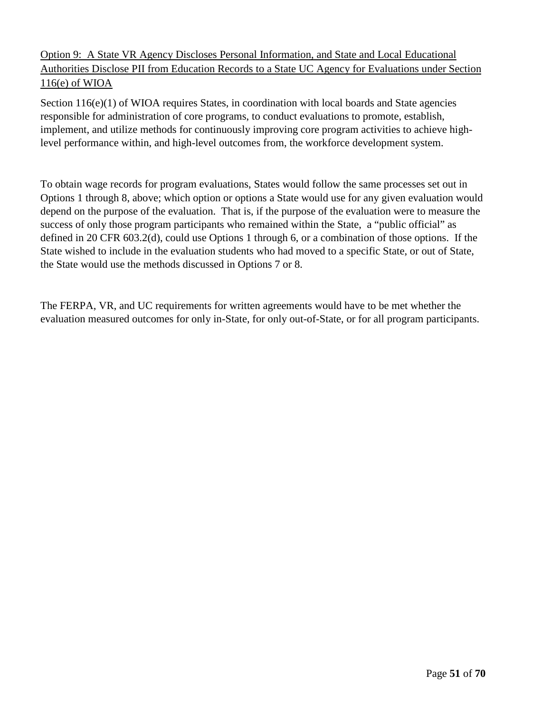## Option 9: A State VR Agency Discloses Personal Information, and State and Local Educational Authorities Disclose PII from Education Records to a State UC Agency for Evaluations under Section 116(e) of WIOA

Section 116(e)(1) of WIOA requires States, in coordination with local boards and State agencies responsible for administration of core programs, to conduct evaluations to promote, establish, implement, and utilize methods for continuously improving core program activities to achieve highlevel performance within, and high-level outcomes from, the workforce development system.

To obtain wage records for program evaluations, States would follow the same processes set out in Options 1 through 8, above; which option or options a State would use for any given evaluation would depend on the purpose of the evaluation. That is, if the purpose of the evaluation were to measure the success of only those program participants who remained within the State, a "public official" as defined in 20 CFR 603.2(d), could use Options 1 through 6, or a combination of those options. If the State wished to include in the evaluation students who had moved to a specific State, or out of State, the State would use the methods discussed in Options 7 or 8.

The FERPA, VR, and UC requirements for written agreements would have to be met whether the evaluation measured outcomes for only in-State, for only out-of-State, or for all program participants.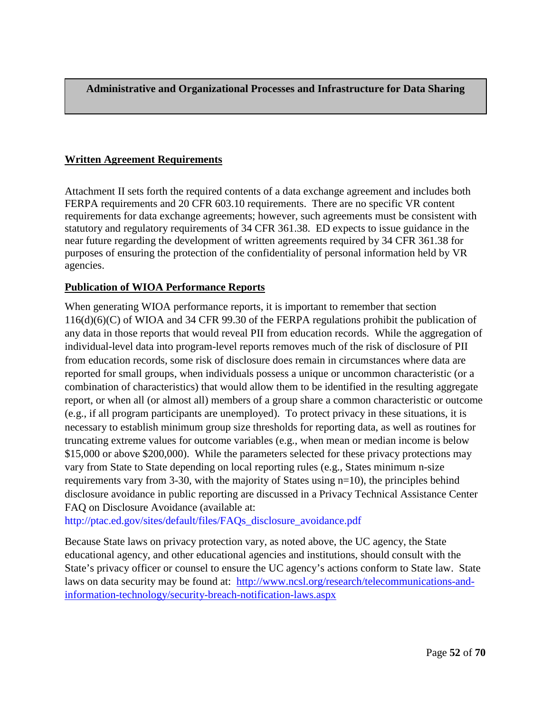**Administrative and Organizational Processes and Infrastructure for Data Sharing**

## <span id="page-51-0"></span>**Written Agreement Requirements**

Attachment II sets forth the required contents of a data exchange agreement and includes both FERPA requirements and 20 CFR 603.10 requirements. There are no specific VR content requirements for data exchange agreements; however, such agreements must be consistent with statutory and regulatory requirements of 34 CFR 361.38. ED expects to issue guidance in the near future regarding the development of written agreements required by 34 CFR 361.38 for purposes of ensuring the protection of the confidentiality of personal information held by VR agencies.

### <span id="page-51-1"></span>**Publication of WIOA Performance Reports**

When generating WIOA performance reports, it is important to remember that section 116(d)(6)(C) of WIOA and 34 CFR 99.30 of the FERPA regulations prohibit the publication of any data in those reports that would reveal PII from education records. While the aggregation of individual-level data into program-level reports removes much of the risk of disclosure of PII from education records, some risk of disclosure does remain in circumstances where data are reported for small groups, when individuals possess a unique or uncommon characteristic (or a combination of characteristics) that would allow them to be identified in the resulting aggregate report, or when all (or almost all) members of a group share a common characteristic or outcome (e.g., if all program participants are unemployed). To protect privacy in these situations, it is necessary to establish minimum group size thresholds for reporting data, as well as routines for truncating extreme values for outcome variables (e.g., when mean or median income is below \$15,000 or above \$200,000). While the parameters selected for these privacy protections may vary from State to State depending on local reporting rules (e.g., States minimum n-size requirements vary from 3-30, with the majority of States using n=10), the principles behind disclosure avoidance in public reporting are discussed in a Privacy Technical Assistance Center FAQ on Disclosure Avoidance (available at:

[http://ptac.ed.gov/sites/default/files/FAQs\\_disclosure\\_avoidance.pdf](http://ptac.ed.gov/sites/default/files/FAQs_disclosure_avoidance.pdf)

Because State laws on privacy protection vary, as noted above, the UC agency, the State educational agency, and other educational agencies and institutions, should consult with the State's privacy officer or counsel to ensure the UC agency's actions conform to State law. State laws on data security may be found at: [http://www.ncsl.org/research/telecommunications-and](http://www.ncsl.org/research/telecommunications-and-information-technology/security-breach-notification-laws.aspx)[information-technology/security-breach-notification-laws.aspx](http://www.ncsl.org/research/telecommunications-and-information-technology/security-breach-notification-laws.aspx)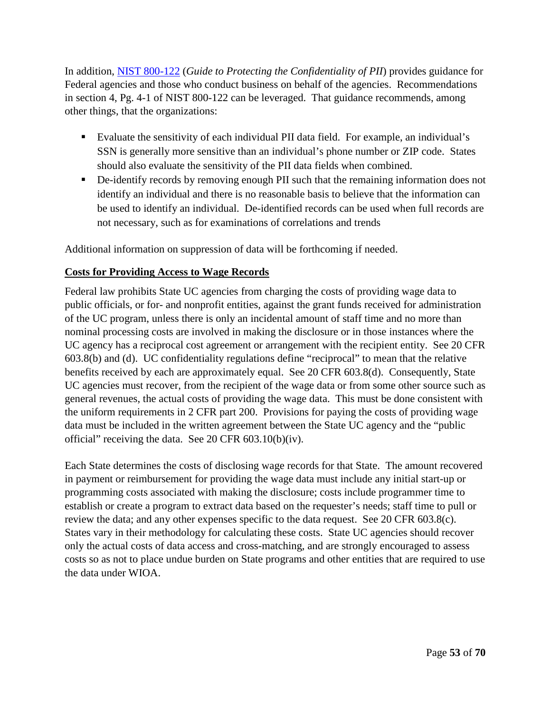In addition, [NIST 800-122](http://csrc.nist.gov/publications/nistpubs/800-122/sp800-122.pdf) (*Guide to Protecting the Confidentiality of PII*) provides guidance for Federal agencies and those who conduct business on behalf of the agencies. Recommendations in section 4, Pg. 4-1 of NIST 800-122 can be leveraged. That guidance recommends, among other things, that the organizations:

- Evaluate the sensitivity of each individual PII data field. For example, an individual's SSN is generally more sensitive than an individual's phone number or ZIP code. States should also evaluate the sensitivity of the PII data fields when combined.
- De-identify records by removing enough PII such that the remaining information does not identify an individual and there is no reasonable basis to believe that the information can be used to identify an individual. De-identified records can be used when full records are not necessary, such as for examinations of correlations and trends

Additional information on suppression of data will be forthcoming if needed.

## <span id="page-52-0"></span>**Costs for Providing Access to Wage Records**

Federal law prohibits State UC agencies from charging the costs of providing wage data to public officials, or for- and nonprofit entities, against the grant funds received for administration of the UC program, unless there is only an incidental amount of staff time and no more than nominal processing costs are involved in making the disclosure or in those instances where the UC agency has a reciprocal cost agreement or arrangement with the recipient entity. See 20 CFR 603.8(b) and (d). UC confidentiality regulations define "reciprocal" to mean that the relative benefits received by each are approximately equal. See 20 CFR 603.8(d). Consequently, State UC agencies must recover, from the recipient of the wage data or from some other source such as general revenues, the actual costs of providing the wage data. This must be done consistent with the uniform requirements in 2 CFR part 200. Provisions for paying the costs of providing wage data must be included in the written agreement between the State UC agency and the "public official" receiving the data. See 20 CFR 603.10(b)(iv).

Each State determines the costs of disclosing wage records for that State. The amount recovered in payment or reimbursement for providing the wage data must include any initial start-up or programming costs associated with making the disclosure; costs include programmer time to establish or create a program to extract data based on the requester's needs; staff time to pull or review the data; and any other expenses specific to the data request. See 20 CFR 603.8(c). States vary in their methodology for calculating these costs. State UC agencies should recover only the actual costs of data access and cross-matching, and are strongly encouraged to assess costs so as not to place undue burden on State programs and other entities that are required to use the data under WIOA.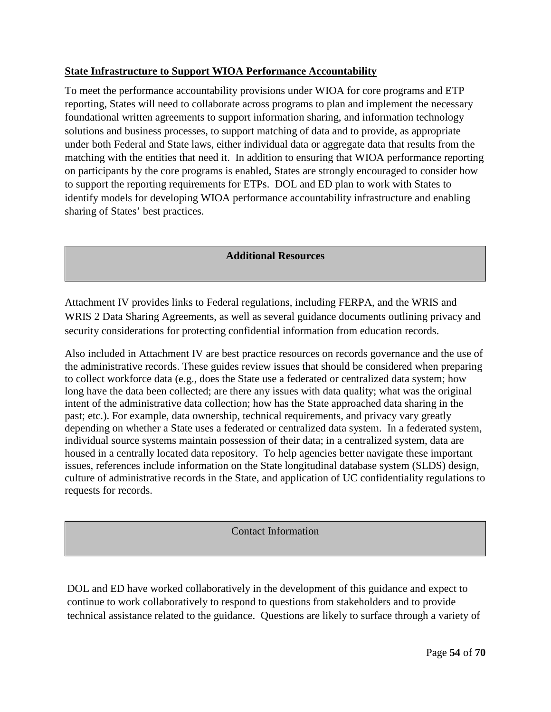## <span id="page-53-0"></span>**State Infrastructure to Support WIOA Performance Accountability**

To meet the performance accountability provisions under WIOA for core programs and ETP reporting, States will need to collaborate across programs to plan and implement the necessary foundational written agreements to support information sharing, and information technology solutions and business processes, to support matching of data and to provide, as appropriate under both Federal and State laws, either individual data or aggregate data that results from the matching with the entities that need it. In addition to ensuring that WIOA performance reporting on participants by the core programs is enabled, States are strongly encouraged to consider how to support the reporting requirements for ETPs. DOL and ED plan to work with States to identify models for developing WIOA performance accountability infrastructure and enabling sharing of States' best practices.

### **Additional Resources**

Attachment IV provides links to Federal regulations, including FERPA, and the WRIS and WRIS 2 Data Sharing Agreements, as well as several guidance documents outlining privacy and security considerations for protecting confidential information from education records.

Also included in Attachment IV are best practice resources on records governance and the use of the administrative records. These guides review issues that should be considered when preparing to collect workforce data (e.g., does the State use a federated or centralized data system; how long have the data been collected; are there any issues with data quality; what was the original intent of the administrative data collection; how has the State approached data sharing in the past; etc.). For example, data ownership, technical requirements, and privacy vary greatly depending on whether a State uses a federated or centralized data system. In a federated system, individual source systems maintain possession of their data; in a centralized system, data are housed in a centrally located data repository. To help agencies better navigate these important issues, references include information on the State longitudinal database system (SLDS) design, culture of administrative records in the State, and application of UC confidentiality regulations to requests for records.

Contact Information

DOL and ED have worked collaboratively in the development of this guidance and expect to continue to work collaboratively to respond to questions from stakeholders and to provide technical assistance related to the guidance. Questions are likely to surface through a variety of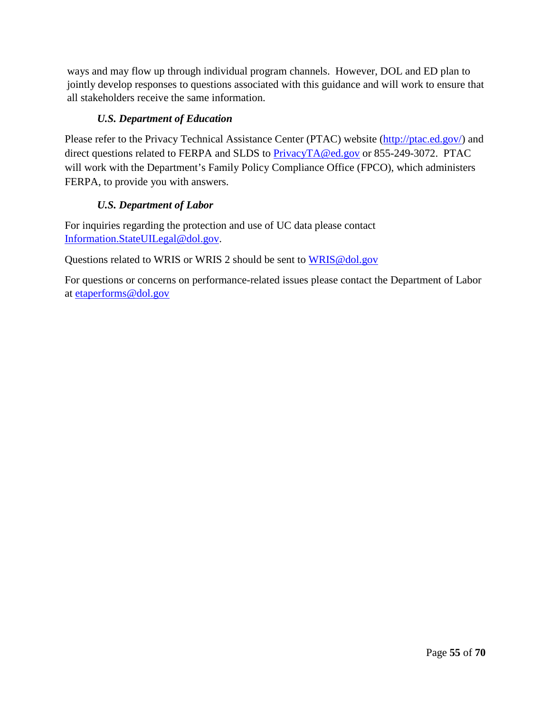ways and may flow up through individual program channels. However, DOL and ED plan to jointly develop responses to questions associated with this guidance and will work to ensure that all stakeholders receive the same information.

## *U.S. Department of Education*

Please refer to the Privacy Technical Assistance Center (PTAC) website [\(http://ptac.ed.gov/\)](http://ptac.ed.gov/) and direct questions related to FERPA and SLDS to [PrivacyTA@ed.gov](mailto:PrivacyTA@ed.gov) or 855-249-3072. PTAC will work with the Department's Family Policy Compliance Office (FPCO), which administers FERPA, to provide you with answers.

## *U.S. Department of Labor*

For inquiries regarding the protection and use of UC data please contact [Information.StateUILegal@dol.gov.](mailto:Information.StateUILegal@dol.gov)

Questions related to WRIS or WRIS 2 should be sent to [WRIS@dol.gov](mailto:WRIS@dol.gov)

For questions or concerns on performance-related issues please contact the Department of Labor at [etaperforms@dol.gov](mailto:etaperforms@dol.gov)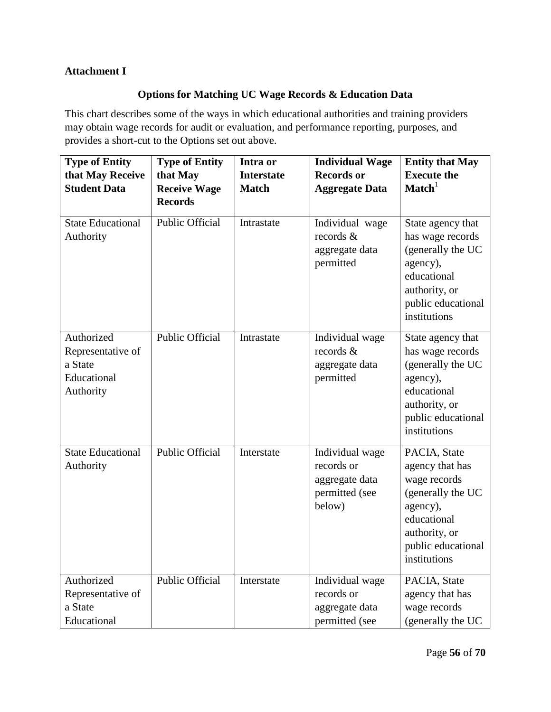## <span id="page-55-1"></span><span id="page-55-0"></span>**Attachment I**

## **Options for Matching UC Wage Records & Education Data**

This chart describes some of the ways in which educational authorities and training providers may obtain wage records for audit or evaluation, and performance reporting, purposes, and provides a short-cut to the Options set out above.

| <b>Type of Entity</b><br>that May Receive<br><b>Student Data</b>       | <b>Type of Entity</b><br>that May<br><b>Receive Wage</b><br><b>Records</b> | Intra or<br><b>Interstate</b><br><b>Match</b> | <b>Individual Wage</b><br><b>Records or</b><br><b>Aggregate Data</b>        | <b>Entity that May</b><br><b>Execute the</b><br>$\mathbf{Match}^1$                                                                                     |
|------------------------------------------------------------------------|----------------------------------------------------------------------------|-----------------------------------------------|-----------------------------------------------------------------------------|--------------------------------------------------------------------------------------------------------------------------------------------------------|
| <b>State Educational</b><br>Authority                                  | <b>Public Official</b>                                                     | Intrastate                                    | Individual wage<br>records &<br>aggregate data<br>permitted                 | State agency that<br>has wage records<br>(generally the UC<br>agency),<br>educational<br>authority, or<br>public educational<br>institutions           |
| Authorized<br>Representative of<br>a State<br>Educational<br>Authority | <b>Public Official</b>                                                     | Intrastate                                    | Individual wage<br>records &<br>aggregate data<br>permitted                 | State agency that<br>has wage records<br>(generally the UC<br>agency),<br>educational<br>authority, or<br>public educational<br>institutions           |
| <b>State Educational</b><br>Authority                                  | <b>Public Official</b>                                                     | Interstate                                    | Individual wage<br>records or<br>aggregate data<br>permitted (see<br>below) | PACIA, State<br>agency that has<br>wage records<br>(generally the UC<br>agency),<br>educational<br>authority, or<br>public educational<br>institutions |
| Authorized<br>Representative of<br>a State<br>Educational              | Public Official                                                            | Interstate                                    | Individual wage<br>records or<br>aggregate data<br>permitted (see           | PACIA, State<br>agency that has<br>wage records<br>(generally the UC                                                                                   |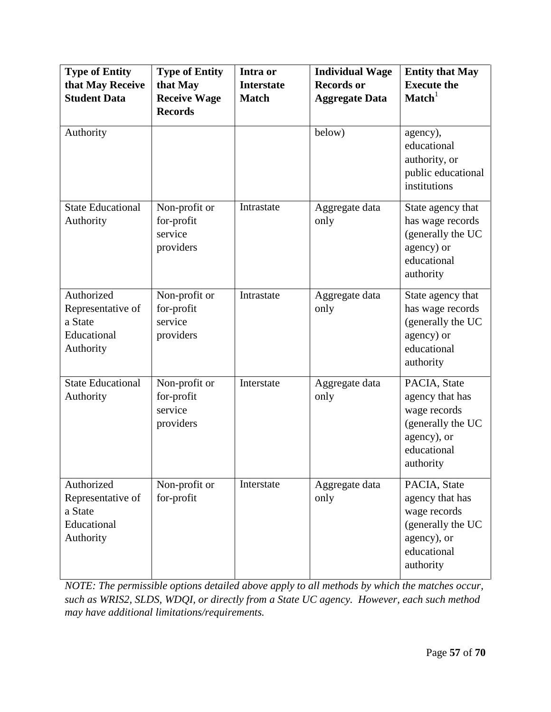| <b>Type of Entity</b><br>that May Receive<br><b>Student Data</b>       | <b>Type of Entity</b><br>that May<br><b>Receive Wage</b><br><b>Records</b> | Intra or<br><b>Interstate</b><br><b>Match</b> | <b>Individual Wage</b><br><b>Records or</b><br><b>Aggregate Data</b> | <b>Entity that May</b><br><b>Execute the</b><br>$\mathbf{Match}^1$                                              |
|------------------------------------------------------------------------|----------------------------------------------------------------------------|-----------------------------------------------|----------------------------------------------------------------------|-----------------------------------------------------------------------------------------------------------------|
| Authority                                                              |                                                                            |                                               | below)                                                               | agency),<br>educational<br>authority, or<br>public educational<br>institutions                                  |
| <b>State Educational</b><br>Authority                                  | Non-profit or<br>for-profit<br>service<br>providers                        | Intrastate                                    | Aggregate data<br>only                                               | State agency that<br>has wage records<br>(generally the UC<br>agency) or<br>educational<br>authority            |
| Authorized<br>Representative of<br>a State<br>Educational<br>Authority | Non-profit or<br>for-profit<br>service<br>providers                        | Intrastate                                    | Aggregate data<br>only                                               | State agency that<br>has wage records<br>(generally the UC<br>agency) or<br>educational<br>authority            |
| <b>State Educational</b><br>Authority                                  | Non-profit or<br>for-profit<br>service<br>providers                        | Interstate                                    | Aggregate data<br>only                                               | PACIA, State<br>agency that has<br>wage records<br>(generally the UC<br>agency), or<br>educational<br>authority |
| Authorized<br>Representative of<br>a State<br>Educational<br>Authority | Non-profit or<br>for-profit                                                | Interstate                                    | Aggregate data<br>only                                               | PACIA, State<br>agency that has<br>wage records<br>(generally the UC<br>agency), or<br>educational<br>authority |

*NOTE: The permissible options detailed above apply to all methods by which the matches occur, such as WRIS2, SLDS, WDQI, or directly from a State UC agency. However, each such method may have additional limitations/requirements.*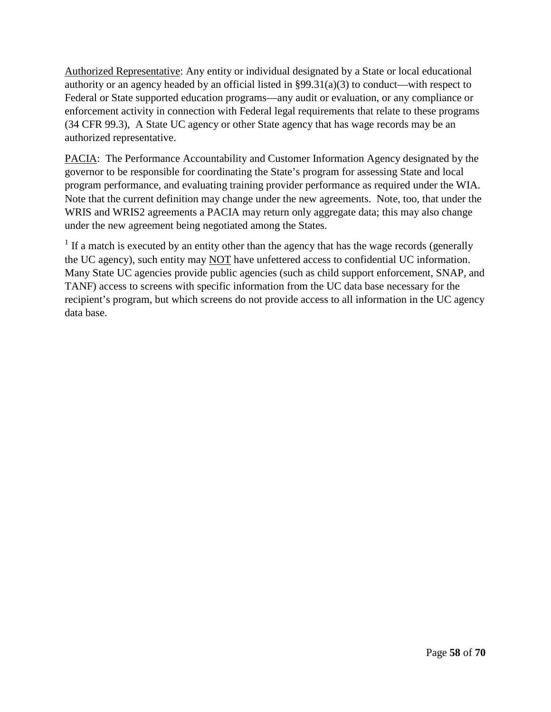Authorized Representative: Any entity or individual designated by a State or local educational authority or an agency headed by an official listed in §99.31(a)(3) to conduct—with respect to Federal or State supported education programs—any audit or evaluation, or any compliance or enforcement activity in connection with Federal legal requirements that relate to these programs (34 CFR 99.3), A State UC agency or other State agency that has wage records may be an authorized representative.

PACIA: The Performance Accountability and Customer Information Agency designated by the governor to be responsible for coordinating the State's program for assessing State and local program performance, and evaluating training provider performance as required under the WIA. Note that the current definition may change under the new agreements. Note, too, that under the WRIS and WRIS2 agreements a PACIA may return only aggregate data; this may also change under the new agreement being negotiated among the States.

 $1$  If a match is executed by an entity other than the agency that has the wage records (generally the UC agency), such entity may NOT have unfettered access to confidential UC information. Many State UC agencies provide public agencies (such as child support enforcement, SNAP, and TANF) access to screens with specific information from the UC data base necessary for the recipient's program, but which screens do not provide access to all information in the UC agency data base.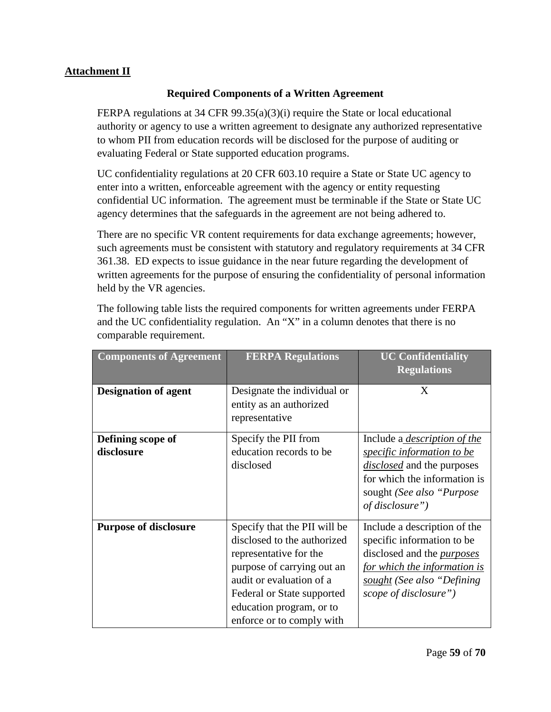## <span id="page-58-0"></span>**Attachment II**

## **Required Components of a Written Agreement**

FERPA regulations at 34 CFR 99.35(a)(3)(i) require the State or local educational authority or agency to use a written agreement to designate any authorized representative to whom PII from education records will be disclosed for the purpose of auditing or evaluating Federal or State supported education programs.

UC confidentiality regulations at 20 CFR 603.10 require a State or State UC agency to enter into a written, enforceable agreement with the agency or entity requesting confidential UC information. The agreement must be terminable if the State or State UC agency determines that the safeguards in the agreement are not being adhered to.

There are no specific VR content requirements for data exchange agreements; however, such agreements must be consistent with statutory and regulatory requirements at 34 CFR 361.38. ED expects to issue guidance in the near future regarding the development of written agreements for the purpose of ensuring the confidentiality of personal information held by the VR agencies.

| The following table lists the required components for written agreements under FERPA |  |  |
|--------------------------------------------------------------------------------------|--|--|
| and the UC confidentiality regulation. An "X" in a column denotes that there is no   |  |  |
| comparable requirement.                                                              |  |  |
|                                                                                      |  |  |

| <b>Components of Agreement</b>  | <b>FERPA Regulations</b>                                                                                                                                                                                                               | <b>UC Confidentiality</b><br><b>Regulations</b>                                                                                                                                                |
|---------------------------------|----------------------------------------------------------------------------------------------------------------------------------------------------------------------------------------------------------------------------------------|------------------------------------------------------------------------------------------------------------------------------------------------------------------------------------------------|
| <b>Designation of agent</b>     | Designate the individual or<br>entity as an authorized<br>representative                                                                                                                                                               | X                                                                                                                                                                                              |
| Defining scope of<br>disclosure | Specify the PII from<br>education records to be<br>disclosed                                                                                                                                                                           | Include a <i>description of the</i><br><i>specific information to be</i><br><i>disclosed</i> and the purposes<br>for which the information is<br>sought (See also "Purpose"<br>of disclosure") |
| <b>Purpose of disclosure</b>    | Specify that the PII will be<br>disclosed to the authorized<br>representative for the<br>purpose of carrying out an<br>audit or evaluation of a<br>Federal or State supported<br>education program, or to<br>enforce or to comply with | Include a description of the<br>specific information to be<br>disclosed and the <i>purposes</i><br>for which the information is<br>sought (See also "Defining"<br>scope of disclosure")        |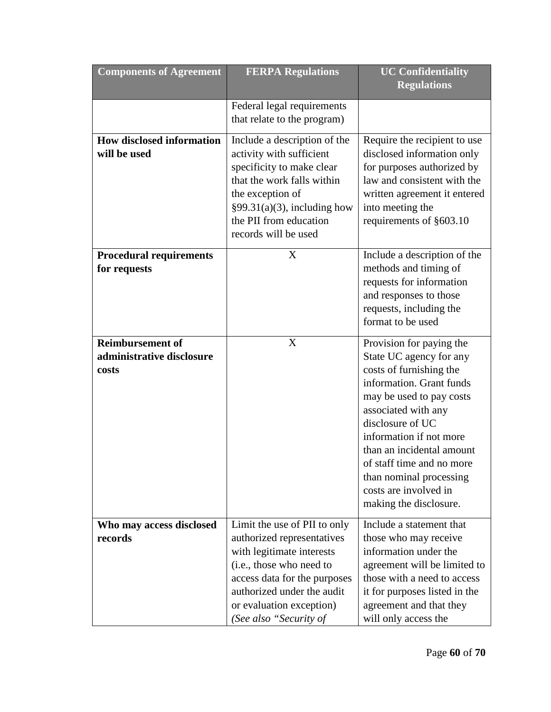| <b>Components of Agreement</b>                                | <b>FERPA Regulations</b>                                                                                                                                                                                                                | <b>UC Confidentiality</b><br><b>Regulations</b>                                                                                                                                                                                                                                                                                                      |
|---------------------------------------------------------------|-----------------------------------------------------------------------------------------------------------------------------------------------------------------------------------------------------------------------------------------|------------------------------------------------------------------------------------------------------------------------------------------------------------------------------------------------------------------------------------------------------------------------------------------------------------------------------------------------------|
|                                                               | Federal legal requirements<br>that relate to the program)                                                                                                                                                                               |                                                                                                                                                                                                                                                                                                                                                      |
| <b>How disclosed information</b><br>will be used              | Include a description of the<br>activity with sufficient<br>specificity to make clear<br>that the work falls within<br>the exception of<br>$§99.31(a)(3)$ , including how<br>the PII from education<br>records will be used             | Require the recipient to use<br>disclosed information only<br>for purposes authorized by<br>law and consistent with the<br>written agreement it entered<br>into meeting the<br>requirements of §603.10                                                                                                                                               |
| <b>Procedural requirements</b><br>for requests                | X                                                                                                                                                                                                                                       | Include a description of the<br>methods and timing of<br>requests for information<br>and responses to those<br>requests, including the<br>format to be used                                                                                                                                                                                          |
| <b>Reimbursement of</b><br>administrative disclosure<br>costs | X                                                                                                                                                                                                                                       | Provision for paying the<br>State UC agency for any<br>costs of furnishing the<br>information. Grant funds<br>may be used to pay costs<br>associated with any<br>disclosure of UC<br>information if not more<br>than an incidental amount<br>of staff time and no more<br>than nominal processing<br>costs are involved in<br>making the disclosure. |
| Who may access disclosed<br>records                           | Limit the use of PII to only<br>authorized representatives<br>with legitimate interests<br>(i.e., those who need to<br>access data for the purposes<br>authorized under the audit<br>or evaluation exception)<br>(See also "Security of | Include a statement that<br>those who may receive<br>information under the<br>agreement will be limited to<br>those with a need to access<br>it for purposes listed in the<br>agreement and that they<br>will only access the                                                                                                                        |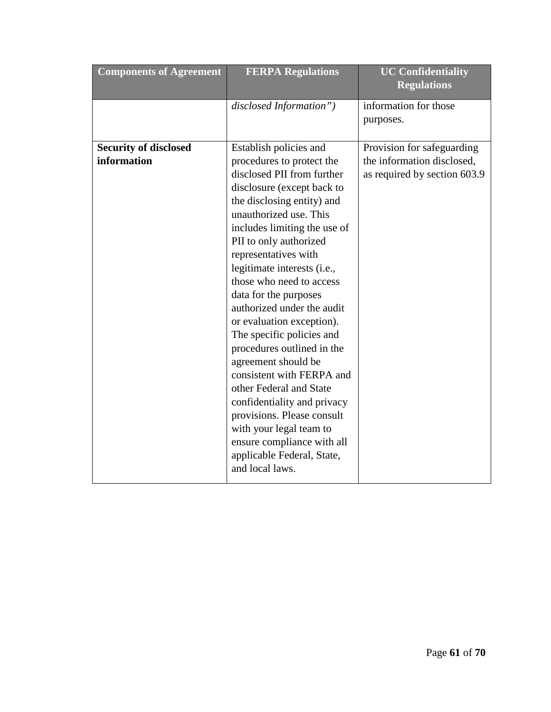| <b>Components of Agreement</b> | <b>FERPA Regulations</b>     | <b>UC Confidentiality</b><br><b>Regulations</b> |
|--------------------------------|------------------------------|-------------------------------------------------|
|                                | disclosed Information")      | information for those<br>purposes.              |
| <b>Security of disclosed</b>   | Establish policies and       | Provision for safeguarding                      |
| information                    | procedures to protect the    | the information disclosed,                      |
|                                | disclosed PII from further   | as required by section 603.9                    |
|                                | disclosure (except back to   |                                                 |
|                                | the disclosing entity) and   |                                                 |
|                                | unauthorized use. This       |                                                 |
|                                | includes limiting the use of |                                                 |
|                                | PII to only authorized       |                                                 |
|                                | representatives with         |                                                 |
|                                | legitimate interests (i.e.,  |                                                 |
|                                | those who need to access     |                                                 |
|                                | data for the purposes        |                                                 |
|                                | authorized under the audit   |                                                 |
|                                | or evaluation exception).    |                                                 |
|                                | The specific policies and    |                                                 |
|                                | procedures outlined in the   |                                                 |
|                                | agreement should be          |                                                 |
|                                | consistent with FERPA and    |                                                 |
|                                | other Federal and State      |                                                 |
|                                | confidentiality and privacy  |                                                 |
|                                | provisions. Please consult   |                                                 |
|                                | with your legal team to      |                                                 |
|                                | ensure compliance with all   |                                                 |
|                                | applicable Federal, State,   |                                                 |
|                                | and local laws.              |                                                 |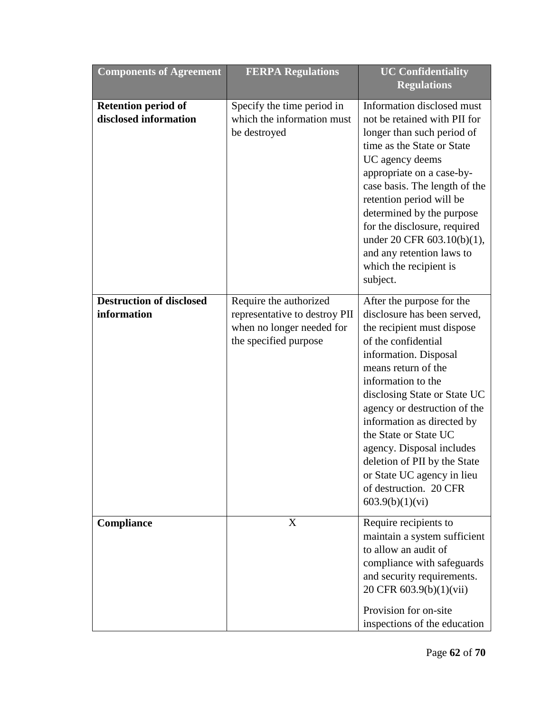| <b>Components of Agreement</b>                      | <b>FERPA Regulations</b>                                                                                      | <b>UC Confidentiality</b><br><b>Regulations</b>                                                                                                                                                                                                                                                                                                                                                                                                    |
|-----------------------------------------------------|---------------------------------------------------------------------------------------------------------------|----------------------------------------------------------------------------------------------------------------------------------------------------------------------------------------------------------------------------------------------------------------------------------------------------------------------------------------------------------------------------------------------------------------------------------------------------|
| <b>Retention period of</b><br>disclosed information | Specify the time period in<br>which the information must<br>be destroyed                                      | Information disclosed must<br>not be retained with PII for<br>longer than such period of<br>time as the State or State<br>UC agency deems<br>appropriate on a case-by-<br>case basis. The length of the<br>retention period will be<br>determined by the purpose<br>for the disclosure, required<br>under 20 CFR 603.10(b)(1),<br>and any retention laws to<br>which the recipient is<br>subject.                                                  |
| <b>Destruction of disclosed</b><br>information      | Require the authorized<br>representative to destroy PII<br>when no longer needed for<br>the specified purpose | After the purpose for the<br>disclosure has been served,<br>the recipient must dispose<br>of the confidential<br>information. Disposal<br>means return of the<br>information to the<br>disclosing State or State UC<br>agency or destruction of the<br>information as directed by<br>the State or State UC<br>agency. Disposal includes<br>deletion of PII by the State<br>or State UC agency in lieu<br>of destruction. 20 CFR<br>603.9(b)(1)(vi) |
| Compliance                                          | X                                                                                                             | Require recipients to<br>maintain a system sufficient<br>to allow an audit of<br>compliance with safeguards<br>and security requirements.<br>20 CFR 603.9(b)(1)(vii)<br>Provision for on-site<br>inspections of the education                                                                                                                                                                                                                      |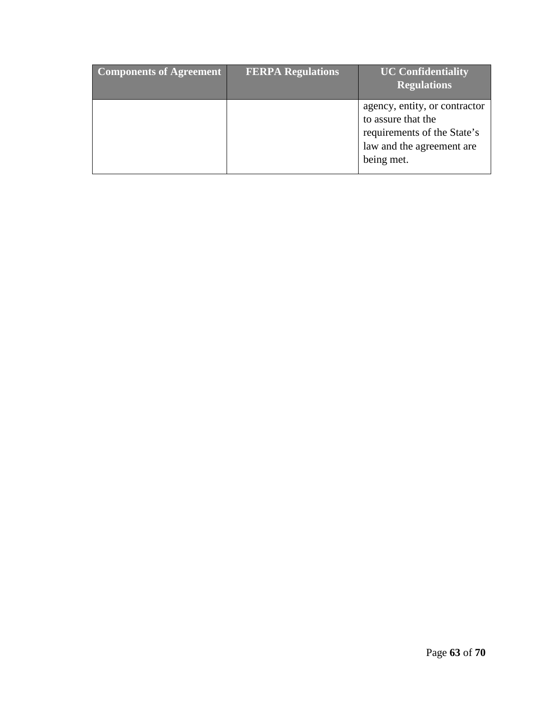| <b>Components of Agreement</b> | <b>FERPA Regulations</b> | <b>UC Confidentiality</b><br><b>Regulations</b>                                                                               |
|--------------------------------|--------------------------|-------------------------------------------------------------------------------------------------------------------------------|
|                                |                          | agency, entity, or contractor<br>to assure that the<br>requirements of the State's<br>law and the agreement are<br>being met. |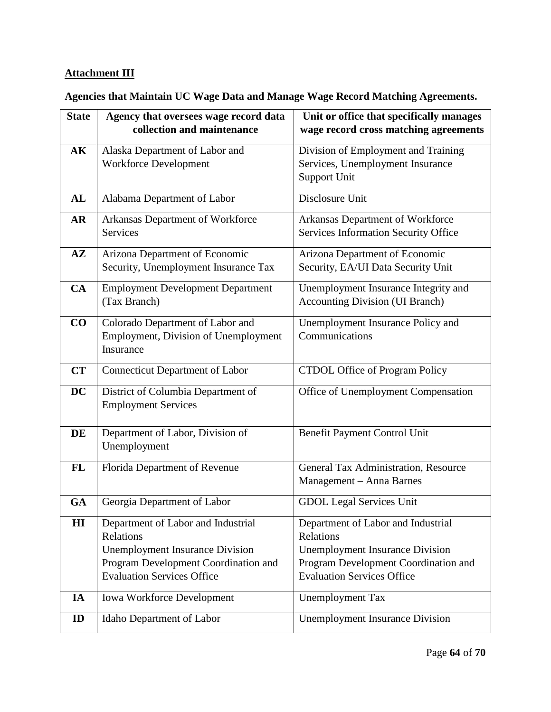# <span id="page-63-0"></span>**Attachment III**

# <span id="page-63-1"></span>**Agencies that Maintain UC Wage Data and Manage Wage Record Matching Agreements.**

| <b>State</b>  | Agency that oversees wage record data<br>collection and maintenance                                                                                                    | Unit or office that specifically manages<br>wage record cross matching agreements                                                                                      |
|---------------|------------------------------------------------------------------------------------------------------------------------------------------------------------------------|------------------------------------------------------------------------------------------------------------------------------------------------------------------------|
| AK            | Alaska Department of Labor and<br><b>Workforce Development</b>                                                                                                         | Division of Employment and Training<br>Services, Unemployment Insurance<br>Support Unit                                                                                |
| AL            | Alabama Department of Labor                                                                                                                                            | Disclosure Unit                                                                                                                                                        |
| <b>AR</b>     | Arkansas Department of Workforce<br><b>Services</b>                                                                                                                    | Arkansas Department of Workforce<br>Services Information Security Office                                                                                               |
| $A\mathbf{Z}$ | Arizona Department of Economic<br>Security, Unemployment Insurance Tax                                                                                                 | Arizona Department of Economic<br>Security, EA/UI Data Security Unit                                                                                                   |
| CA            | <b>Employment Development Department</b><br>(Tax Branch)                                                                                                               | Unemployment Insurance Integrity and<br><b>Accounting Division (UI Branch)</b>                                                                                         |
| CO            | Colorado Department of Labor and<br>Employment, Division of Unemployment<br>Insurance                                                                                  | Unemployment Insurance Policy and<br>Communications                                                                                                                    |
| <b>CT</b>     | <b>Connecticut Department of Labor</b>                                                                                                                                 | CTDOL Office of Program Policy                                                                                                                                         |
| <b>DC</b>     | District of Columbia Department of<br><b>Employment Services</b>                                                                                                       | Office of Unemployment Compensation                                                                                                                                    |
| DE            | Department of Labor, Division of<br>Unemployment                                                                                                                       | Benefit Payment Control Unit                                                                                                                                           |
| <b>FL</b>     | Florida Department of Revenue                                                                                                                                          | General Tax Administration, Resource<br>Management - Anna Barnes                                                                                                       |
| <b>GA</b>     | Georgia Department of Labor                                                                                                                                            | <b>GDOL Legal Services Unit</b>                                                                                                                                        |
| $\mathbf{H}$  | Department of Labor and Industrial<br>Relations<br><b>Unemployment Insurance Division</b><br>Program Development Coordination and<br><b>Evaluation Services Office</b> | Department of Labor and Industrial<br>Relations<br><b>Unemployment Insurance Division</b><br>Program Development Coordination and<br><b>Evaluation Services Office</b> |
| IA            | <b>Iowa Workforce Development</b>                                                                                                                                      | <b>Unemployment Tax</b>                                                                                                                                                |
| ID            | Idaho Department of Labor                                                                                                                                              | <b>Unemployment Insurance Division</b>                                                                                                                                 |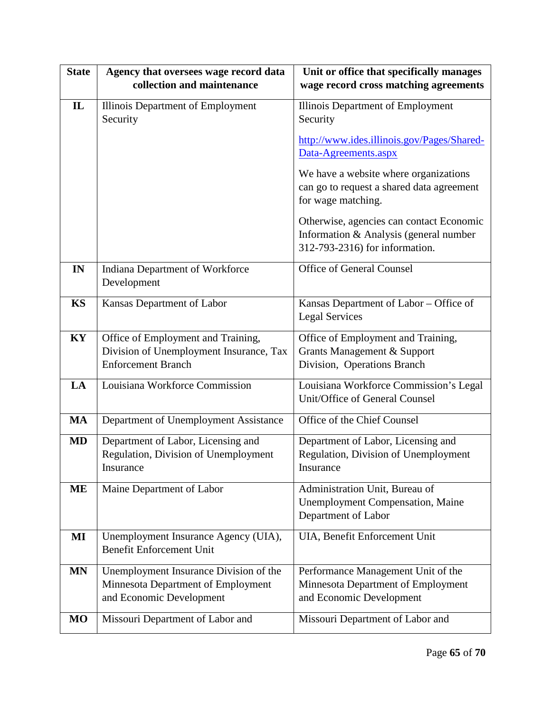| <b>State</b> | Agency that oversees wage record data<br>collection and maintenance                                        | Unit or office that specifically manages<br>wage record cross matching agreements                                    |
|--------------|------------------------------------------------------------------------------------------------------------|----------------------------------------------------------------------------------------------------------------------|
| $\mathbf{L}$ | Illinois Department of Employment<br>Security                                                              | Illinois Department of Employment<br>Security                                                                        |
|              |                                                                                                            | http://www.ides.illinois.gov/Pages/Shared-<br>Data-Agreements.aspx                                                   |
|              |                                                                                                            | We have a website where organizations<br>can go to request a shared data agreement<br>for wage matching.             |
|              |                                                                                                            | Otherwise, agencies can contact Economic<br>Information & Analysis (general number<br>312-793-2316) for information. |
| IN           | Indiana Department of Workforce<br>Development                                                             | Office of General Counsel                                                                                            |
| <b>KS</b>    | Kansas Department of Labor                                                                                 | Kansas Department of Labor - Office of<br><b>Legal Services</b>                                                      |
| KY           | Office of Employment and Training,<br>Division of Unemployment Insurance, Tax<br><b>Enforcement Branch</b> | Office of Employment and Training,<br>Grants Management & Support<br>Division, Operations Branch                     |
| LA           | Louisiana Workforce Commission                                                                             | Louisiana Workforce Commission's Legal<br>Unit/Office of General Counsel                                             |
| <b>MA</b>    | Department of Unemployment Assistance                                                                      | Office of the Chief Counsel                                                                                          |
| <b>MD</b>    | Department of Labor, Licensing and<br>Regulation, Division of Unemployment<br>Insurance                    | Department of Labor, Licensing and<br>Regulation, Division of Unemployment<br>Insurance                              |
| <b>ME</b>    | Maine Department of Labor                                                                                  | Administration Unit, Bureau of<br><b>Unemployment Compensation, Maine</b><br>Department of Labor                     |
| MI           | Unemployment Insurance Agency (UIA),<br><b>Benefit Enforcement Unit</b>                                    | UIA, Benefit Enforcement Unit                                                                                        |
| <b>MN</b>    | Unemployment Insurance Division of the<br>Minnesota Department of Employment<br>and Economic Development   | Performance Management Unit of the<br>Minnesota Department of Employment<br>and Economic Development                 |
| <b>MO</b>    | Missouri Department of Labor and                                                                           | Missouri Department of Labor and                                                                                     |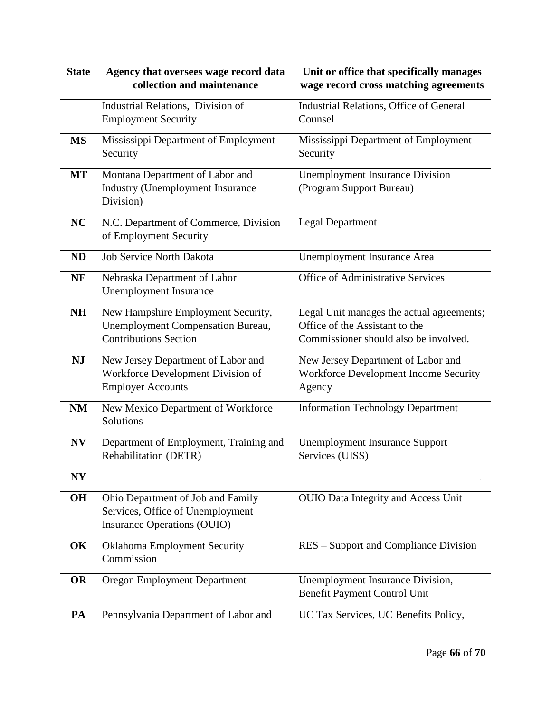| <b>State</b> | Agency that oversees wage record data    | Unit or office that specifically manages   |
|--------------|------------------------------------------|--------------------------------------------|
|              | collection and maintenance               | wage record cross matching agreements      |
|              | Industrial Relations, Division of        | Industrial Relations, Office of General    |
|              | <b>Employment Security</b>               | Counsel                                    |
| <b>MS</b>    | Mississippi Department of Employment     | Mississippi Department of Employment       |
|              | Security                                 | Security                                   |
| <b>MT</b>    | Montana Department of Labor and          | <b>Unemployment Insurance Division</b>     |
|              | Industry (Unemployment Insurance         | (Program Support Bureau)                   |
|              | Division)                                |                                            |
| <b>NC</b>    | N.C. Department of Commerce, Division    | <b>Legal Department</b>                    |
|              | of Employment Security                   |                                            |
| <b>ND</b>    | <b>Job Service North Dakota</b>          | Unemployment Insurance Area                |
| <b>NE</b>    | Nebraska Department of Labor             | <b>Office of Administrative Services</b>   |
|              | <b>Unemployment Insurance</b>            |                                            |
| <b>NH</b>    | New Hampshire Employment Security,       | Legal Unit manages the actual agreements;  |
|              | <b>Unemployment Compensation Bureau,</b> | Office of the Assistant to the             |
|              | <b>Contributions Section</b>             | Commissioner should also be involved.      |
| <b>NJ</b>    | New Jersey Department of Labor and       | New Jersey Department of Labor and         |
|              | Workforce Development Division of        | Workforce Development Income Security      |
|              | <b>Employer Accounts</b>                 | Agency                                     |
| NM           | New Mexico Department of Workforce       | <b>Information Technology Department</b>   |
|              | Solutions                                |                                            |
| <b>NV</b>    | Department of Employment, Training and   | <b>Unemployment Insurance Support</b>      |
|              | Rehabilitation (DETR)                    | Services (UISS)                            |
| NY           |                                          |                                            |
| <b>OH</b>    | Ohio Department of Job and Family        | <b>OUIO Data Integrity and Access Unit</b> |
|              | Services, Office of Unemployment         |                                            |
|              | <b>Insurance Operations (OUIO)</b>       |                                            |
| OK           | Oklahoma Employment Security             | RES – Support and Compliance Division      |
|              | Commission                               |                                            |
| <b>OR</b>    | Oregon Employment Department             | Unemployment Insurance Division,           |
|              |                                          | Benefit Payment Control Unit               |
| PA           | Pennsylvania Department of Labor and     | UC Tax Services, UC Benefits Policy,       |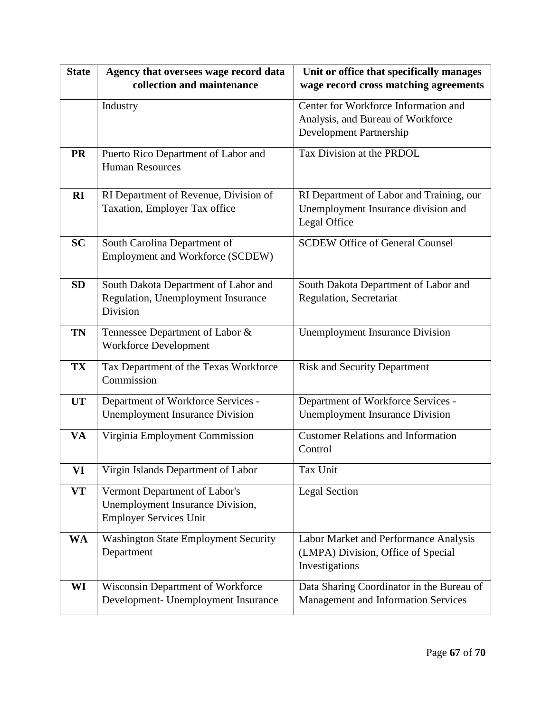| <b>State</b> | Agency that oversees wage record data                                      | Unit or office that specifically manages                        |
|--------------|----------------------------------------------------------------------------|-----------------------------------------------------------------|
|              | collection and maintenance                                                 | wage record cross matching agreements                           |
|              | Industry                                                                   | Center for Workforce Information and                            |
|              |                                                                            | Analysis, and Bureau of Workforce                               |
|              |                                                                            | Development Partnership                                         |
| <b>PR</b>    | Puerto Rico Department of Labor and                                        | Tax Division at the PRDOL                                       |
|              | <b>Human Resources</b>                                                     |                                                                 |
|              |                                                                            |                                                                 |
| RI           | RI Department of Revenue, Division of                                      | RI Department of Labor and Training, our                        |
|              | Taxation, Employer Tax office                                              | Unemployment Insurance division and                             |
|              |                                                                            | Legal Office                                                    |
| <b>SC</b>    | South Carolina Department of                                               | <b>SCDEW Office of General Counsel</b>                          |
|              | Employment and Workforce (SCDEW)                                           |                                                                 |
| <b>SD</b>    |                                                                            |                                                                 |
|              | South Dakota Department of Labor and<br>Regulation, Unemployment Insurance | South Dakota Department of Labor and<br>Regulation, Secretariat |
|              | Division                                                                   |                                                                 |
|              |                                                                            |                                                                 |
| TN           | Tennessee Department of Labor &                                            | <b>Unemployment Insurance Division</b>                          |
|              | <b>Workforce Development</b>                                               |                                                                 |
| <b>TX</b>    | Tax Department of the Texas Workforce                                      | <b>Risk and Security Department</b>                             |
|              | Commission                                                                 |                                                                 |
| <b>UT</b>    | Department of Workforce Services -                                         | Department of Workforce Services -                              |
|              | <b>Unemployment Insurance Division</b>                                     | <b>Unemployment Insurance Division</b>                          |
| <b>VA</b>    | Virginia Employment Commission                                             | <b>Customer Relations and Information</b>                       |
|              |                                                                            | Control                                                         |
| VI           | Virgin Islands Department of Labor                                         | Tax Unit                                                        |
|              |                                                                            |                                                                 |
| <b>VT</b>    | Vermont Department of Labor's                                              | <b>Legal Section</b>                                            |
|              | Unemployment Insurance Division,                                           |                                                                 |
|              | <b>Employer Services Unit</b>                                              |                                                                 |
| WA           | <b>Washington State Employment Security</b>                                | Labor Market and Performance Analysis                           |
|              | Department                                                                 | (LMPA) Division, Office of Special                              |
|              |                                                                            | Investigations                                                  |
| WI           | Wisconsin Department of Workforce                                          | Data Sharing Coordinator in the Bureau of                       |
|              | Development- Unemployment Insurance                                        | Management and Information Services                             |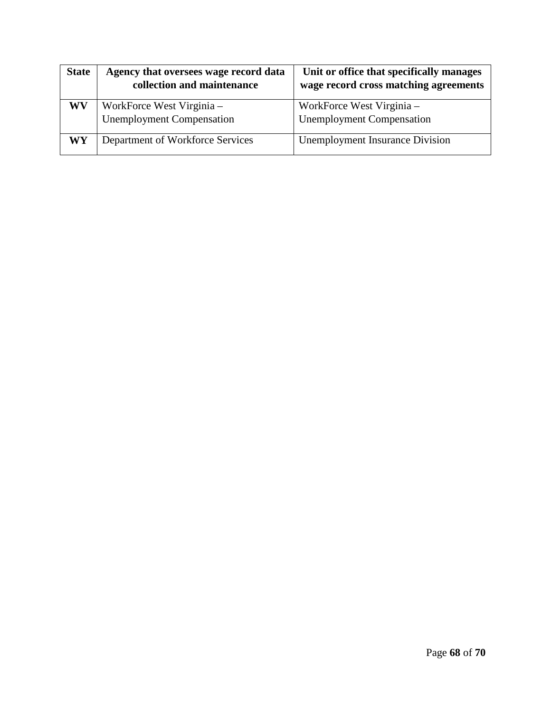| <b>State</b> | Agency that oversees wage record data<br>collection and maintenance | Unit or office that specifically manages<br>wage record cross matching agreements |
|--------------|---------------------------------------------------------------------|-----------------------------------------------------------------------------------|
| WV           | WorkForce West Virginia –<br><b>Unemployment Compensation</b>       | WorkForce West Virginia –<br><b>Unemployment Compensation</b>                     |
| WY           | Department of Workforce Services                                    | <b>Unemployment Insurance Division</b>                                            |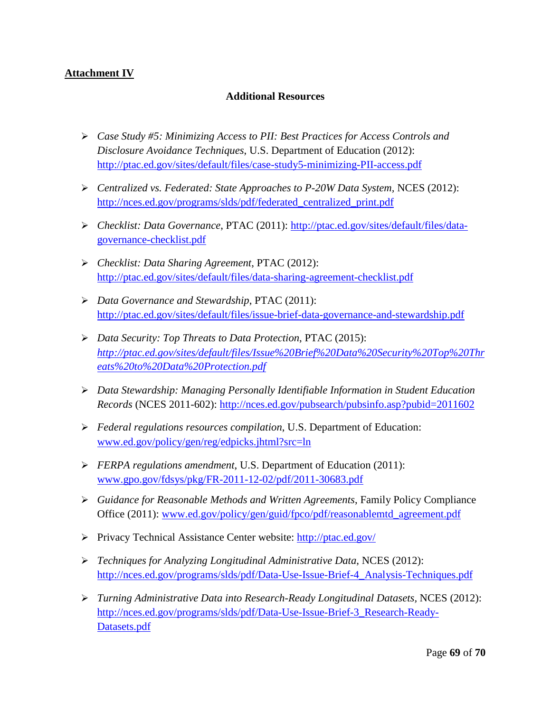## <span id="page-68-1"></span><span id="page-68-0"></span>**Attachment IV**

## **Additional Resources**

- *Case Study #5: Minimizing Access to PII: Best Practices for Access Controls and Disclosure Avoidance Techniques*, U.S. Department of Education (2012): <http://ptac.ed.gov/sites/default/files/case-study5-minimizing-PII-access.pdf>
- *Centralized vs. Federated: State Approaches to P-20W Data System,* NCES (2012): [http://nces.ed.gov/programs/slds/pdf/federated\\_centralized\\_print.pdf](http://nces.ed.gov/programs/slds/pdf/federated_centralized_print.pdf)
- *Checklist: Data Governance*, PTAC (2011): [http://ptac.ed.gov/sites/default/files/data](http://ptac.ed.gov/sites/default/files/data-governance-checklist.pdf)[governance-checklist.pdf](http://ptac.ed.gov/sites/default/files/data-governance-checklist.pdf)
- *Checklist: Data Sharing Agreement*, PTAC (2012): <http://ptac.ed.gov/sites/default/files/data-sharing-agreement-checklist.pdf>
- *Data Governance and Stewardship*, PTAC (2011): <http://ptac.ed.gov/sites/default/files/issue-brief-data-governance-and-stewardship.pdf>
- *Data Security: Top Threats to Data Protection*, PTAC (2015): *[http://ptac.ed.gov/sites/default/files/Issue%20Brief%20Data%20Security%20Top%20Thr](http://ptac.ed.gov/sites/default/files/Issue%20Brief%20Data%20Security%20Top%20Threats%20to%20Data%20Protection.pdf) [eats%20to%20Data%20Protection.pdf](http://ptac.ed.gov/sites/default/files/Issue%20Brief%20Data%20Security%20Top%20Threats%20to%20Data%20Protection.pdf)*
- *Data Stewardship: Managing Personally Identifiable Information in Student Education Records* (NCES 2011-602):<http://nces.ed.gov/pubsearch/pubsinfo.asp?pubid=2011602>
- *Federal regulations resources compilation*, U.S. Department of Education: [www.ed.gov/policy/gen/reg/edpicks.jhtml?src=ln](http://www.ed.gov/policy/gen/reg/edpicks.jhtml?src=ln)
- *FERPA regulations amendment*, U.S. Department of Education (2011): [www.gpo.gov/fdsys/pkg/FR-2011-12-02/pdf/2011-30683.pdf](http://www.gpo.gov/fdsys/pkg/FR-2011-12-02/pdf/2011-30683.pdf)
- *Guidance for Reasonable Methods and Written Agreements*, Family Policy Compliance Office (2011): [www.ed.gov/policy/gen/guid/fpco/pdf/reasonablemtd\\_agreement.pdf](http://www.ed.gov/policy/gen/guid/fpco/pdf/reasonablemtd_agreement.pdf)
- Privacy Technical Assistance Center website:<http://ptac.ed.gov/>
- *Techniques for Analyzing Longitudinal Administrative Data*, NCES (2012): [http://nces.ed.gov/programs/slds/pdf/Data-Use-Issue-Brief-4\\_Analysis-Techniques.pdf](http://nces.ed.gov/programs/slds/pdf/Data-Use-Issue-Brief-4_Analysis-Techniques.pdf)
- *Turning Administrative Data into Research-Ready Longitudinal Datasets,* NCES (2012): [http://nces.ed.gov/programs/slds/pdf/Data-Use-Issue-Brief-3\\_Research-Ready-](http://nces.ed.gov/programs/slds/pdf/Data-Use-Issue-Brief-3_Research-Ready-Datasets.pdf)[Datasets.pdf](http://nces.ed.gov/programs/slds/pdf/Data-Use-Issue-Brief-3_Research-Ready-Datasets.pdf)